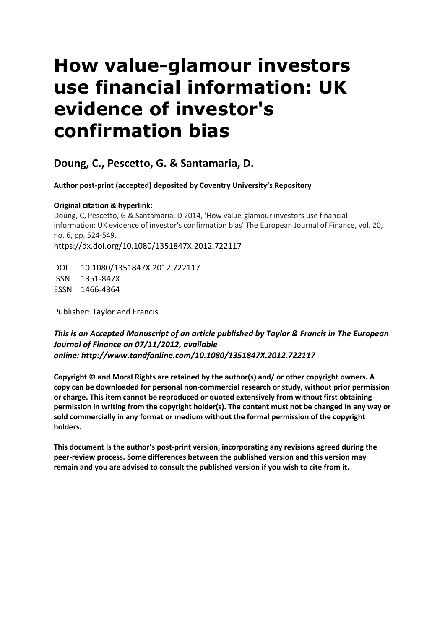# **How value-glamour investors use financial information: UK evidence of investor's confirmation bias**

# **Doung, C., Pescetto, G. & Santamaria, D.**

 **Author post-print (accepted) deposited by Coventry University's Repository** 

# **Original citation & hyperlink:**

 information: UK evidence of investor's confirmation bias' The European Journal of Finance, vol. 20, Doung, C, Pescetto, G & Santamaria, D 2014, 'How value-glamour investors use financial no. 6, pp. 524-549. https://dx.doi.org/10.1080/1351847X.2012.722117

DOI 10.1080/1351847X.2012.722117 ISSN 1351-847X ESSN 1466-4364

Publisher: Taylor and Francis

# *This is an Accepted Manuscript of an article published by Taylor & Francis in The European Journal of Finance on 07/11/2012, available online: http://www.tandfonline.com/10.1080/1351847X.2012.722117*

 **permission in writing from the copyright holder(s). The content must not be changed in any way or Copyright © and Moral Rights are retained by the author(s) and/ or other copyright owners. A copy can be downloaded for personal non-commercial research or study, without prior permission or charge. This item cannot be reproduced or quoted extensively from without first obtaining sold commercially in any format or medium without the formal permission of the copyright holders.** 

**This document is the author's post-print version, incorporating any revisions agreed during the peer-review process. Some differences between the published version and this version may remain and you are advised to consult the published version if you wish to cite from it.**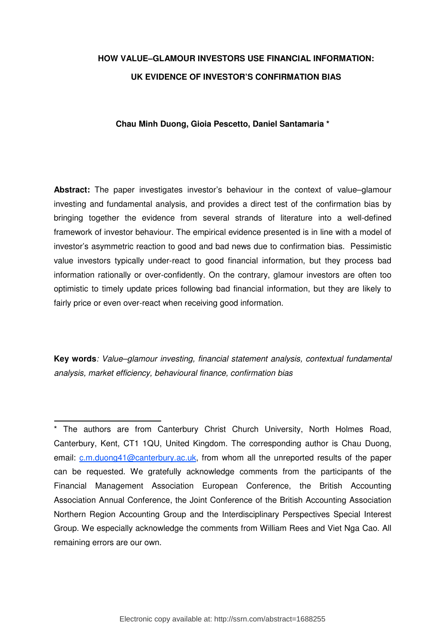# **HOW VALUE–GLAMOUR INVESTORS USE FINANCIAL INFORMATION: UK EVIDENCE OF INVESTOR'S CONFIRMATION BIAS**

# **Chau Minh Duong, Gioia Pescetto, Daniel Santamaria \***

 **Abstract:** The paper investigates investor's behaviour in the context of value–glamour investing and fundamental analysis, and provides a direct test of the confirmation bias by bringing together the evidence from several strands of literature into a well-defined framework of investor behaviour. The empirical evidence presented is in line with a model of investor's asymmetric reaction to good and bad news due to confirmation bias. Pessimistic value investors typically under-react to good financial information, but they process bad information rationally or over-confidently. On the contrary, glamour investors are often too optimistic to timely update prices following bad financial information, but they are likely to fairly price or even over-react when receiving good information.

 **Key words**: Value–glamour investing, financial statement analysis, contextual fundamental analysis, market efficiency, behavioural finance, confirmation bias

 \* The authors are from Canterbury Christ Church University, North Holmes Road, Canterbury, Kent, CT1 1QU, United Kingdom. The corresponding author is Chau Duong, email: <u>c.m.duong41@canterbury.ac.uk</u>, from whom all the unreported results of the paper can be requested. We gratefully acknowledge comments from the participants of the Financial Management Association European Conference, the British Accounting Association Annual Conference, the Joint Conference of the British Accounting Association Northern Region Accounting Group and the Interdisciplinary Perspectives Special Interest Group. We especially acknowledge the comments from William Rees and Viet Nga Cao. All remaining errors are our own.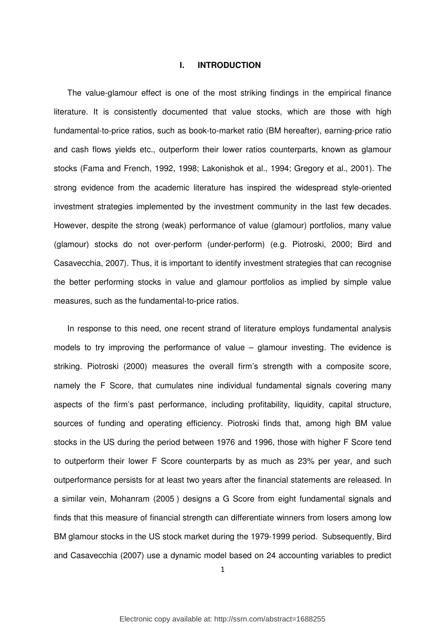#### **I. INTRODUCTION**

 The value-glamour effect is one of the most striking findings in the empirical finance literature. It is consistently documented that value stocks, which are those with high fundamental-to-price ratios, such as book-to-market ratio (BM hereafter), earning-price ratio and cash flows yields etc., outperform their lower ratios counterparts, known as glamour stocks (Fama and French, 1992, 1998; Lakonishok et al., 1994; Gregory et al., 2001). The strong evidence from the academic literature has inspired the widespread style-oriented investment strategies implemented by the investment community in the last few decades. However, despite the strong (weak) performance of value (glamour) portfolios, many value (glamour) stocks do not over-perform (under-perform) (e.g. Piotroski, 2000; Bird and Casavecchia, 2007). Thus, it is important to identify investment strategies that can recognise the better performing stocks in value and glamour portfolios as implied by simple value measures, such as the fundamental-to-price ratios.

 In response to this need, one recent strand of literature employs fundamental analysis models to try improving the performance of value – glamour investing. The evidence is striking. Piotroski (2000) measures the overall firm's strength with a composite score, namely the F Score, that cumulates nine individual fundamental signals covering many aspects of the firm's past performance, including profitability, liquidity, capital structure, sources of funding and operating efficiency. Piotroski finds that, among high BM value stocks in the US during the period between 1976 and 1996, those with higher F Score tend to outperform their lower F Score counterparts by as much as 23% per year, and such outperformance persists for at least two years after the financial statements are released. In a similar vein, Mohanram (2005 ) designs a G Score from eight fundamental signals and finds that this measure of financial strength can differentiate winners from losers among low BM glamour stocks in the US stock market during the 1979-1999 period. Subsequently, Bird and Casavecchia (2007) use a dynamic model based on 24 accounting variables to predict

1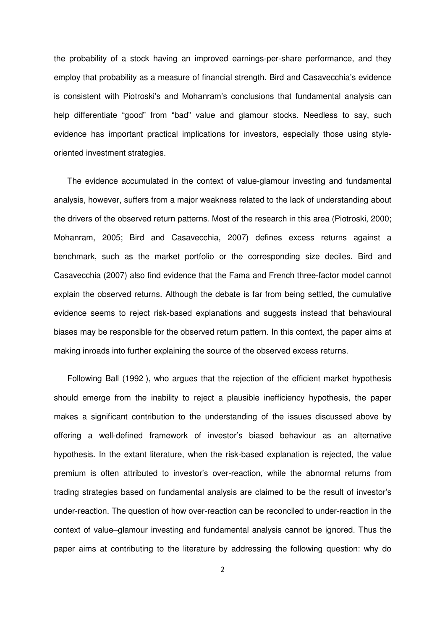the probability of a stock having an improved earnings-per-share performance, and they employ that probability as a measure of financial strength. Bird and Casavecchia's evidence is consistent with Piotroski's and Mohanram's conclusions that fundamental analysis can help differentiate "good" from "bad" value and glamour stocks. Needless to say, such evidence has important practical implications for investors, especially those using style-oriented investment strategies.

 The evidence accumulated in the context of value-glamour investing and fundamental analysis, however, suffers from a major weakness related to the lack of understanding about the drivers of the observed return patterns. Most of the research in this area (Piotroski, 2000; Mohanram, 2005; Bird and Casavecchia, 2007) defines excess returns against a benchmark, such as the market portfolio or the corresponding size deciles. Bird and Casavecchia (2007) also find evidence that the Fama and French three-factor model cannot explain the observed returns. Although the debate is far from being settled, the cumulative evidence seems to reject risk-based explanations and suggests instead that behavioural biases may be responsible for the observed return pattern. In this context, the paper aims at making inroads into further explaining the source of the observed excess returns.

 Following Ball (1992 ), who argues that the rejection of the efficient market hypothesis should emerge from the inability to reject a plausible inefficiency hypothesis, the paper makes a significant contribution to the understanding of the issues discussed above by offering a well-defined framework of investor's biased behaviour as an alternative hypothesis. In the extant literature, when the risk-based explanation is rejected, the value premium is often attributed to investor's over-reaction, while the abnormal returns from trading strategies based on fundamental analysis are claimed to be the result of investor's under-reaction. The question of how over-reaction can be reconciled to under-reaction in the context of value–glamour investing and fundamental analysis cannot be ignored. Thus the paper aims at contributing to the literature by addressing the following question: why do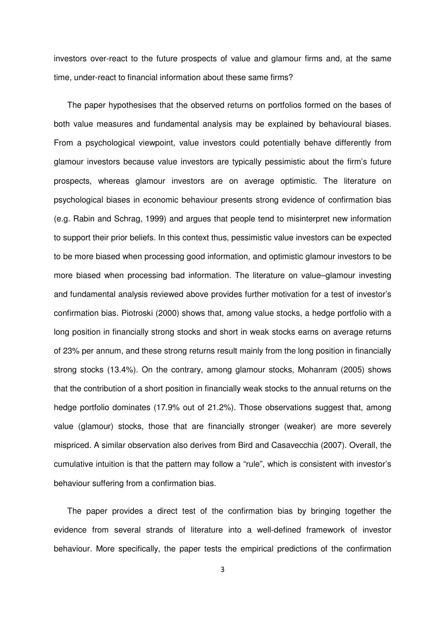investors over-react to the future prospects of value and glamour firms and, at the same time, under-react to financial information about these same firms?

 The paper hypothesises that the observed returns on portfolios formed on the bases of both value measures and fundamental analysis may be explained by behavioural biases. From a psychological viewpoint, value investors could potentially behave differently from glamour investors because value investors are typically pessimistic about the firm's future prospects, whereas glamour investors are on average optimistic. The literature on psychological biases in economic behaviour presents strong evidence of confirmation bias (e.g. Rabin and Schrag, 1999) and argues that people tend to misinterpret new information to support their prior beliefs. In this context thus, pessimistic value investors can be expected to be more biased when processing good information, and optimistic glamour investors to be more biased when processing bad information. The literature on value–glamour investing and fundamental analysis reviewed above provides further motivation for a test of investor's confirmation bias. Piotroski (2000) shows that, among value stocks, a hedge portfolio with a long position in financially strong stocks and short in weak stocks earns on average returns of 23% per annum, and these strong returns result mainly from the long position in financially strong stocks (13.4%). On the contrary, among glamour stocks, Mohanram (2005) shows that the contribution of a short position in financially weak stocks to the annual returns on the hedge portfolio dominates (17.9% out of 21.2%). Those observations suggest that, among value (glamour) stocks, those that are financially stronger (weaker) are more severely mispriced. A similar observation also derives from Bird and Casavecchia (2007). Overall, the cumulative intuition is that the pattern may follow a "rule", which is consistent with investor's behaviour suffering from a confirmation bias.

 The paper provides a direct test of the confirmation bias by bringing together the evidence from several strands of literature into a well-defined framework of investor behaviour. More specifically, the paper tests the empirical predictions of the confirmation

3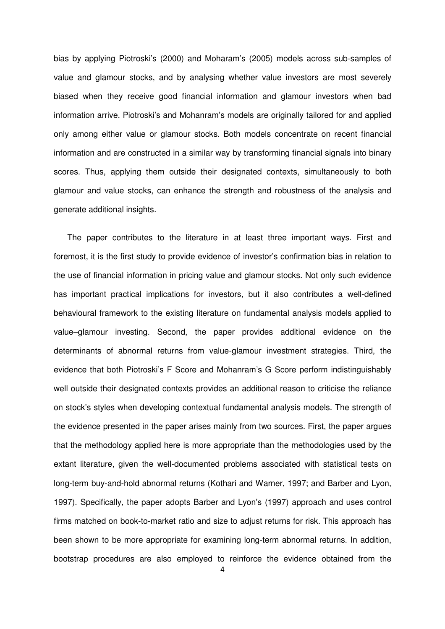bias by applying Piotroski's (2000) and Moharam's (2005) models across sub-samples of value and glamour stocks, and by analysing whether value investors are most severely biased when they receive good financial information and glamour investors when bad information arrive. Piotroski's and Mohanram's models are originally tailored for and applied only among either value or glamour stocks. Both models concentrate on recent financial information and are constructed in a similar way by transforming financial signals into binary scores. Thus, applying them outside their designated contexts, simultaneously to both glamour and value stocks, can enhance the strength and robustness of the analysis and generate additional insights.

 The paper contributes to the literature in at least three important ways. First and foremost, it is the first study to provide evidence of investor's confirmation bias in relation to the use of financial information in pricing value and glamour stocks. Not only such evidence has important practical implications for investors, but it also contributes a well-defined behavioural framework to the existing literature on fundamental analysis models applied to value–glamour investing. Second, the paper provides additional evidence on the determinants of abnormal returns from value-glamour investment strategies. Third, the evidence that both Piotroski's F Score and Mohanram's G Score perform indistinguishably well outside their designated contexts provides an additional reason to criticise the reliance on stock's styles when developing contextual fundamental analysis models. The strength of the evidence presented in the paper arises mainly from two sources. First, the paper argues that the methodology applied here is more appropriate than the methodologies used by the extant literature, given the well-documented problems associated with statistical tests on long-term buy-and-hold abnormal returns (Kothari and Warner, 1997; and Barber and Lyon, 1997). Specifically, the paper adopts Barber and Lyon's (1997) approach and uses control firms matched on book-to-market ratio and size to adjust returns for risk. This approach has been shown to be more appropriate for examining long-term abnormal returns. In addition, bootstrap procedures are also employed to reinforce the evidence obtained from the

4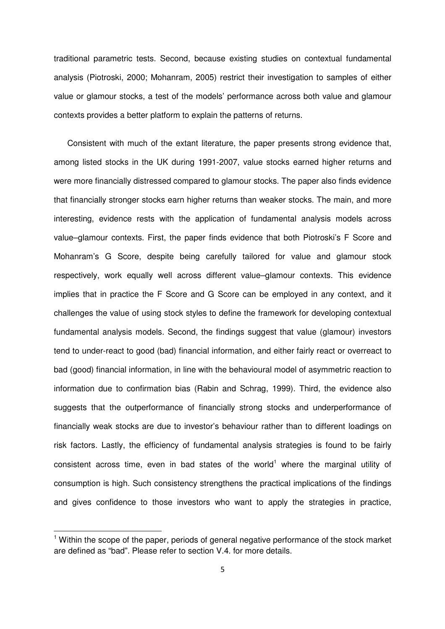traditional parametric tests. Second, because existing studies on contextual fundamental analysis (Piotroski, 2000; Mohanram, 2005) restrict their investigation to samples of either value or glamour stocks, a test of the models' performance across both value and glamour contexts provides a better platform to explain the patterns of returns.

 Consistent with much of the extant literature, the paper presents strong evidence that, among listed stocks in the UK during 1991-2007, value stocks earned higher returns and were more financially distressed compared to glamour stocks. The paper also finds evidence that financially stronger stocks earn higher returns than weaker stocks. The main, and more interesting, evidence rests with the application of fundamental analysis models across value–glamour contexts. First, the paper finds evidence that both Piotroski's F Score and Mohanram's G Score, despite being carefully tailored for value and glamour stock respectively, work equally well across different value–glamour contexts. This evidence implies that in practice the F Score and G Score can be employed in any context, and it challenges the value of using stock styles to define the framework for developing contextual fundamental analysis models. Second, the findings suggest that value (glamour) investors tend to under-react to good (bad) financial information, and either fairly react or overreact to bad (good) financial information, in line with the behavioural model of asymmetric reaction to information due to confirmation bias (Rabin and Schrag, 1999). Third, the evidence also suggests that the outperformance of financially strong stocks and underperformance of financially weak stocks are due to investor's behaviour rather than to different loadings on risk factors. Lastly, the efficiency of fundamental analysis strategies is found to be fairly consistent across time, even in bad states of the world<sup>1</sup> where the marginal utility of consumption is high. Such consistency strengthens the practical implications of the findings and gives confidence to those investors who want to apply the strategies in practice,

 $\overline{\phantom{0}}$ 

<sup>&</sup>lt;sup>1</sup> Within the scope of the paper, periods of general negative performance of the stock market are defined as "bad". Please refer to section V.4. for more details.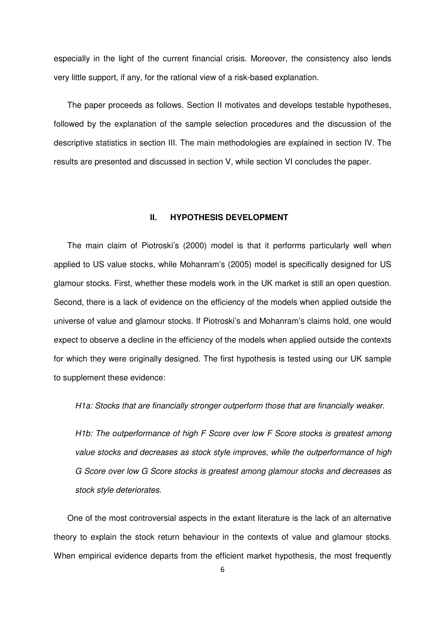especially in the light of the current financial crisis. Moreover, the consistency also lends very little support, if any, for the rational view of a risk-based explanation.

 The paper proceeds as follows. Section II motivates and develops testable hypotheses, followed by the explanation of the sample selection procedures and the discussion of the descriptive statistics in section III. The main methodologies are explained in section IV. The results are presented and discussed in section V, while section VI concludes the paper.

## **II. HYPOTHESIS DEVELOPMENT**

 The main claim of Piotroski's (2000) model is that it performs particularly well when applied to US value stocks, while Mohanram's (2005) model is specifically designed for US glamour stocks. First, whether these models work in the UK market is still an open question. Second, there is a lack of evidence on the efficiency of the models when applied outside the universe of value and glamour stocks. If Piotroski's and Mohanram's claims hold, one would expect to observe a decline in the efficiency of the models when applied outside the contexts for which they were originally designed. The first hypothesis is tested using our UK sample to supplement these evidence:

H1a: Stocks that are financially stronger outperform those that are financially weaker.

 H1b: The outperformance of high F Score over low F Score stocks is greatest among value stocks and decreases as stock style improves, while the outperformance of high G Score over low G Score stocks is greatest among glamour stocks and decreases as stock style deteriorates.

 One of the most controversial aspects in the extant literature is the lack of an alternative theory to explain the stock return behaviour in the contexts of value and glamour stocks. When empirical evidence departs from the efficient market hypothesis, the most frequently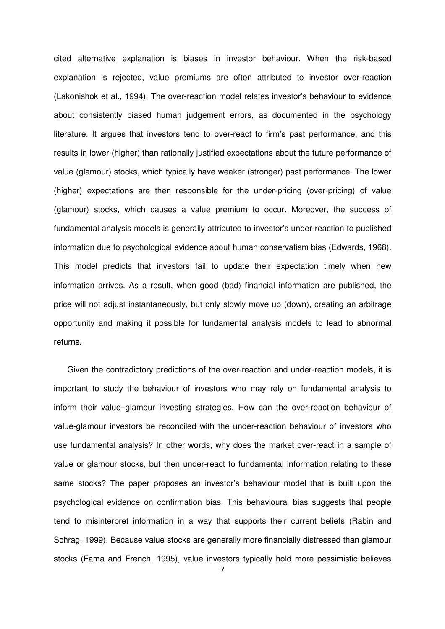cited alternative explanation is biases in investor behaviour. When the risk-based explanation is rejected, value premiums are often attributed to investor over-reaction (Lakonishok et al., 1994). The over-reaction model relates investor's behaviour to evidence about consistently biased human judgement errors, as documented in the psychology literature. It argues that investors tend to over-react to firm's past performance, and this results in lower (higher) than rationally justified expectations about the future performance of value (glamour) stocks, which typically have weaker (stronger) past performance. The lower (higher) expectations are then responsible for the under-pricing (over-pricing) of value (glamour) stocks, which causes a value premium to occur. Moreover, the success of fundamental analysis models is generally attributed to investor's under-reaction to published information due to psychological evidence about human conservatism bias (Edwards, 1968). This model predicts that investors fail to update their expectation timely when new information arrives. As a result, when good (bad) financial information are published, the price will not adjust instantaneously, but only slowly move up (down), creating an arbitrage opportunity and making it possible for fundamental analysis models to lead to abnormal returns.

 Given the contradictory predictions of the over-reaction and under-reaction models, it is important to study the behaviour of investors who may rely on fundamental analysis to inform their value–glamour investing strategies. How can the over-reaction behaviour of value-glamour investors be reconciled with the under-reaction behaviour of investors who use fundamental analysis? In other words, why does the market over-react in a sample of value or glamour stocks, but then under-react to fundamental information relating to these same stocks? The paper proposes an investor's behaviour model that is built upon the psychological evidence on confirmation bias. This behavioural bias suggests that people tend to misinterpret information in a way that supports their current beliefs (Rabin and Schrag, 1999). Because value stocks are generally more financially distressed than glamour stocks (Fama and French, 1995), value investors typically hold more pessimistic believes

7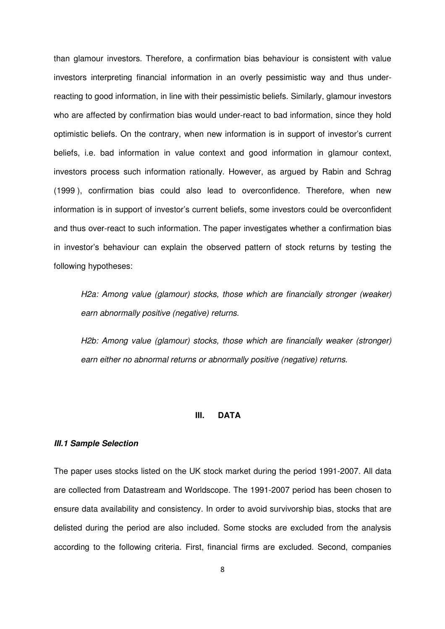than glamour investors. Therefore, a confirmation bias behaviour is consistent with value investors interpreting financial information in an overly pessimistic way and thus under- reacting to good information, in line with their pessimistic beliefs. Similarly, glamour investors who are affected by confirmation bias would under-react to bad information, since they hold optimistic beliefs. On the contrary, when new information is in support of investor's current beliefs, i.e. bad information in value context and good information in glamour context, investors process such information rationally. However, as argued by Rabin and Schrag (1999 ), confirmation bias could also lead to overconfidence. Therefore, when new information is in support of investor's current beliefs, some investors could be overconfident and thus over-react to such information. The paper investigates whether a confirmation bias in investor's behaviour can explain the observed pattern of stock returns by testing the following hypotheses:

 H2a: Among value (glamour) stocks, those which are financially stronger (weaker) earn abnormally positive (negative) returns.

 H2b: Among value (glamour) stocks, those which are financially weaker (stronger) earn either no abnormal returns or abnormally positive (negative) returns.

#### $\mathbf{H}$ **DATA**

#### **III.1 Sample Selection**

 The paper uses stocks listed on the UK stock market during the period 1991-2007. All data are collected from Datastream and Worldscope. The 1991-2007 period has been chosen to ensure data availability and consistency. In order to avoid survivorship bias, stocks that are delisted during the period are also included. Some stocks are excluded from the analysis according to the following criteria. First, financial firms are excluded. Second, companies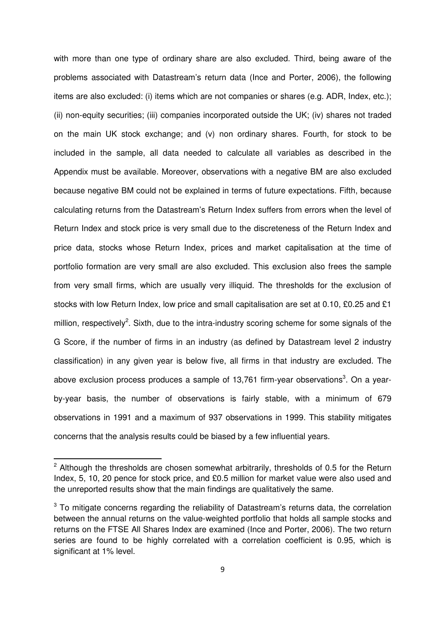with more than one type of ordinary share are also excluded. Third, being aware of the problems associated with Datastream's return data (Ince and Porter, 2006), the following items are also excluded: (i) items which are not companies or shares (e.g. ADR, Index, etc.); (ii) non-equity securities; (iii) companies incorporated outside the UK; (iv) shares not traded on the main UK stock exchange; and (v) non ordinary shares. Fourth, for stock to be included in the sample, all data needed to calculate all variables as described in the Appendix must be available. Moreover, observations with a negative BM are also excluded because negative BM could not be explained in terms of future expectations. Fifth, because calculating returns from the Datastream's Return Index suffers from errors when the level of Return Index and stock price is very small due to the discreteness of the Return Index and price data, stocks whose Return Index, prices and market capitalisation at the time of portfolio formation are very small are also excluded. This exclusion also frees the sample from very small firms, which are usually very illiquid. The thresholds for the exclusion of stocks with low Return Index, low price and small capitalisation are set at 0.10, £0.25 and £1 million, respectively<sup>2</sup>. Sixth, due to the intra-industry scoring scheme for some signals of the G Score, if the number of firms in an industry (as defined by Datastream level 2 industry classification) in any given year is below five, all firms in that industry are excluded. The above exclusion process produces a sample of 13,761 firm-year observations<sup>3</sup>. On a year- by-year basis, the number of observations is fairly stable, with a minimum of 679 observations in 1991 and a maximum of 937 observations in 1999. This stability mitigates concerns that the analysis results could be biased by a few influential years.

l

 $2$  Although the thresholds are chosen somewhat arbitrarily, thresholds of 0.5 for the Return Index, 5, 10, 20 pence for stock price, and £0.5 million for market value were also used and the unreported results show that the main findings are qualitatively the same.

 $3$  To mitigate concerns regarding the reliability of Datastream's returns data, the correlation between the annual returns on the value-weighted portfolio that holds all sample stocks and returns on the FTSE All Shares Index are examined (Ince and Porter, 2006). The two return series are found to be highly correlated with a correlation coefficient is 0.95, which is significant at 1% level.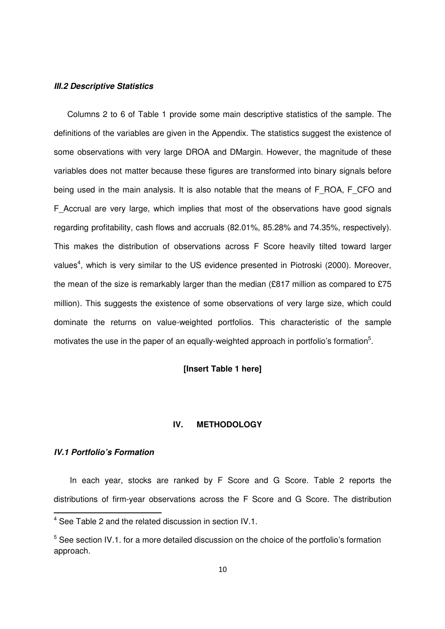#### **III.2 Descriptive Statistics**

 Columns 2 to 6 of Table 1 provide some main descriptive statistics of the sample. The definitions of the variables are given in the Appendix. The statistics suggest the existence of some observations with very large DROA and DMargin. However, the magnitude of these variables does not matter because these figures are transformed into binary signals before being used in the main analysis. It is also notable that the means of F\_ROA, F\_CFO and F\_Accrual are very large, which implies that most of the observations have good signals regarding profitability, cash flows and accruals (82.01%, 85.28% and 74.35%, respectively). This makes the distribution of observations across F Score heavily tilted toward larger values<sup>4</sup>, which is very similar to the US evidence presented in Piotroski (2000). Moreover, the mean of the size is remarkably larger than the median (£817 million as compared to £75 million). This suggests the existence of some observations of very large size, which could dominate the returns on value-weighted portfolios. This characteristic of the sample motivates the use in the paper of an equally-weighted approach in portfolio's formation<sup>5</sup>.

# **[Insert Table 1 here]**

## **IV. METHODOLOGY**

#### **IV.1 Portfolio's Formation**

-

 In each year, stocks are ranked by F Score and G Score. Table 2 reports the distributions of firm-year observations across the F Score and G Score. The distribution

 $4$  See Table 2 and the related discussion in section IV.1.

 $5$  See section IV.1. for a more detailed discussion on the choice of the portfolio's formation approach.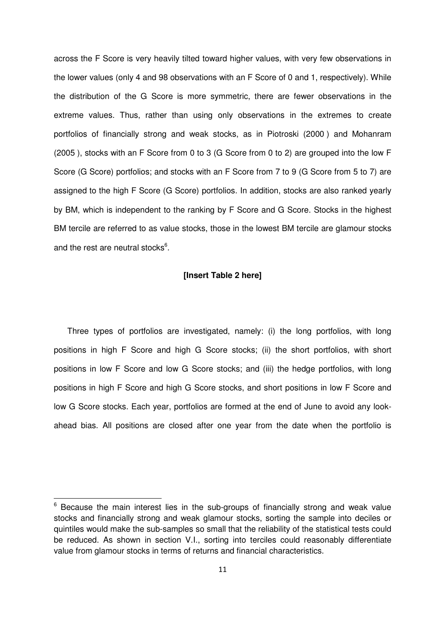across the F Score is very heavily tilted toward higher values, with very few observations in the lower values (only 4 and 98 observations with an F Score of 0 and 1, respectively). While the distribution of the G Score is more symmetric, there are fewer observations in the extreme values. Thus, rather than using only observations in the extremes to create portfolios of financially strong and weak stocks, as in Piotroski (2000 ) and Mohanram (2005 ), stocks with an F Score from 0 to 3 (G Score from 0 to 2) are grouped into the low F Score (G Score) portfolios; and stocks with an F Score from 7 to 9 (G Score from 5 to 7) are assigned to the high F Score (G Score) portfolios. In addition, stocks are also ranked yearly by BM, which is independent to the ranking by F Score and G Score. Stocks in the highest BM tercile are referred to as value stocks, those in the lowest BM tercile are glamour stocks and the rest are neutral stocks<sup>6</sup>.

#### **[Insert Table 2 here]**

 Three types of portfolios are investigated, namely: (i) the long portfolios, with long positions in high F Score and high G Score stocks; (ii) the short portfolios, with short positions in low F Score and low G Score stocks; and (iii) the hedge portfolios, with long positions in high F Score and high G Score stocks, and short positions in low F Score and low G Score stocks. Each year, portfolios are formed at the end of June to avoid any look-ahead bias. All positions are closed after one year from the date when the portfolio is

-

 $6$  Because the main interest lies in the sub-groups of financially strong and weak value stocks and financially strong and weak glamour stocks, sorting the sample into deciles or quintiles would make the sub-samples so small that the reliability of the statistical tests could be reduced. As shown in section V.I., sorting into terciles could reasonably differentiate value from glamour stocks in terms of returns and financial characteristics.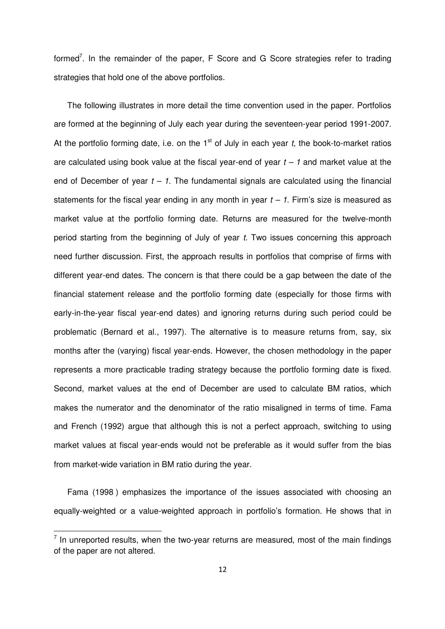formed<sup>7</sup>. In the remainder of the paper, F Score and G Score strategies refer to trading strategies that hold one of the above portfolios.

 The following illustrates in more detail the time convention used in the paper. Portfolios are formed at the beginning of July each year during the seventeen-year period 1991-2007. At the portfolio forming date, i.e. on the 1<sup>st</sup> of July in each year t, the book-to-market ratios are calculated using book value at the fiscal year-end of year  $t - 1$  and market value at the end of December of year  $t - 1$ . The fundamental signals are calculated using the financial statements for the fiscal year ending in any month in year  $t - 1$ . Firm's size is measured as market value at the portfolio forming date. Returns are measured for the twelve-month period starting from the beginning of July of year t. Two issues concerning this approach need further discussion. First, the approach results in portfolios that comprise of firms with different year-end dates. The concern is that there could be a gap between the date of the financial statement release and the portfolio forming date (especially for those firms with early-in-the-year fiscal year-end dates) and ignoring returns during such period could be problematic (Bernard et al., 1997). The alternative is to measure returns from, say, six months after the (varying) fiscal year-ends. However, the chosen methodology in the paper represents a more practicable trading strategy because the portfolio forming date is fixed. Second, market values at the end of December are used to calculate BM ratios, which makes the numerator and the denominator of the ratio misaligned in terms of time. Fama and French (1992) argue that although this is not a perfect approach, switching to using market values at fiscal year-ends would not be preferable as it would suffer from the bias from market-wide variation in BM ratio during the year.

 Fama (1998 ) emphasizes the importance of the issues associated with choosing an equally-weighted or a value-weighted approach in portfolio's formation. He shows that in

.<br>-

 $<sup>7</sup>$  In unreported results, when the two-year returns are measured, most of the main findings</sup> of the paper are not altered.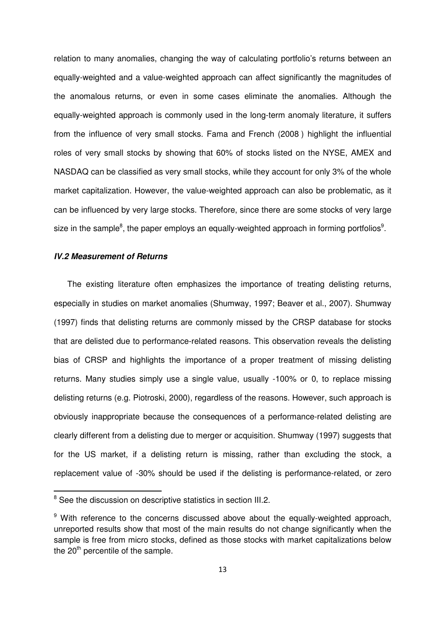relation to many anomalies, changing the way of calculating portfolio's returns between an equally-weighted and a value-weighted approach can affect significantly the magnitudes of the anomalous returns, or even in some cases eliminate the anomalies. Although the equally-weighted approach is commonly used in the long-term anomaly literature, it suffers from the influence of very small stocks. Fama and French (2008 ) highlight the influential roles of very small stocks by showing that 60% of stocks listed on the NYSE, AMEX and NASDAQ can be classified as very small stocks, while they account for only 3% of the whole market capitalization. However, the value-weighted approach can also be problematic, as it can be influenced by very large stocks. Therefore, since there are some stocks of very large size in the sample<sup>8</sup>, the paper employs an equally-weighted approach in forming portfolios<sup>9</sup>.

#### **IV.2 Measurement of Returns**

 $\overline{a}$ 

 The existing literature often emphasizes the importance of treating delisting returns, especially in studies on market anomalies (Shumway, 1997; Beaver et al., 2007). Shumway (1997) finds that delisting returns are commonly missed by the CRSP database for stocks that are delisted due to performance-related reasons. This observation reveals the delisting bias of CRSP and highlights the importance of a proper treatment of missing delisting returns. Many studies simply use a single value, usually -100% or 0, to replace missing delisting returns (e.g. Piotroski, 2000), regardless of the reasons. However, such approach is obviously inappropriate because the consequences of a performance-related delisting are clearly different from a delisting due to merger or acquisition. Shumway (1997) suggests that for the US market, if a delisting return is missing, rather than excluding the stock, a replacement value of -30% should be used if the delisting is performance-related, or zero

<sup>&</sup>lt;sup>8</sup> See the discussion on descriptive statistics in section III.2.

<sup>&</sup>lt;sup>9</sup> With reference to the concerns discussed above about the equally-weighted approach, unreported results show that most of the main results do not change significantly when the sample is free from micro stocks, defined as those stocks with market capitalizations below the 20<sup>th</sup> percentile of the sample.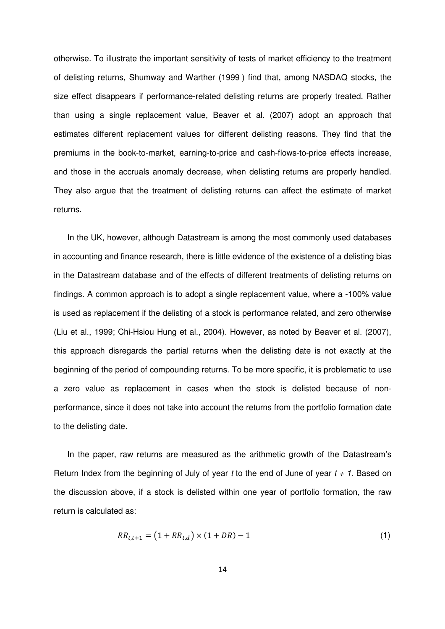otherwise. To illustrate the important sensitivity of tests of market efficiency to the treatment of delisting returns, Shumway and Warther (1999 ) find that, among NASDAQ stocks, the size effect disappears if performance-related delisting returns are properly treated. Rather than using a single replacement value, Beaver et al. (2007) adopt an approach that estimates different replacement values for different delisting reasons. They find that the premiums in the book-to-market, earning-to-price and cash-flows-to-price effects increase, and those in the accruals anomaly decrease, when delisting returns are properly handled. They also argue that the treatment of delisting returns can affect the estimate of market returns.

returns.<br>In the UK, however, although Datastream is among the most commonly used databases in accounting and finance research, there is little evidence of the existence of a delisting bias in the Datastream database and of the effects of different treatments of delisting returns on findings. A common approach is to adopt a single replacement value, where a -100% value is used as replacement if the delisting of a stock is performance related, and zero otherwise (Liu et al., 1999; Chi-Hsiou Hung et al., 2004). However, as noted by Beaver et al. (2007), this approach disregards the partial returns when the delisting date is not exactly at the beginning of the period of compounding returns. To be more specific, it is problematic to use a zero value as replacement in cases when the stock is delisted because of non- performance, since it does not take into account the returns from the portfolio formation date to the delisting date.

 In the paper, raw returns are measured as the arithmetic growth of the Datastream's Return Index from the beginning of July of year t to the end of June of year  $t + 1$ . Based on the discussion above, if a stock is delisted within one year of portfolio formation, the raw return is calculated as:

$$
RR_{t,t+1} = (1 + RR_{t,d}) \times (1 + DR) - 1 \tag{1}
$$

14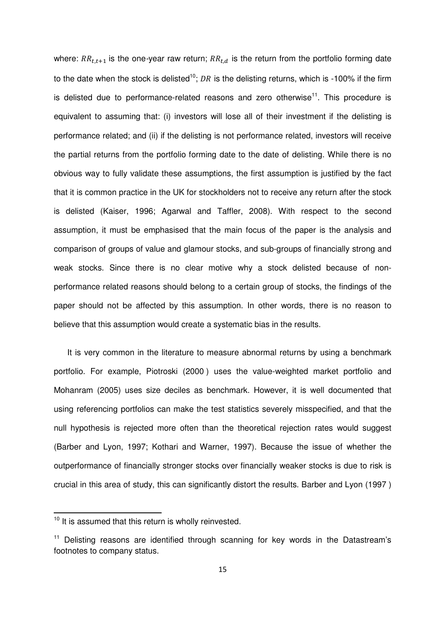where:  $RR_{t,t+1}$  is the one-year raw return;  $RR_{t,d}$  is the return from the portfolio forming date to the date when the stock is delisted<sup>10</sup>; DR is the delisting returns, which is -100% if the firm is delisted due to performance-related reasons and zero otherwise<sup>11</sup>. This procedure is equivalent to assuming that: (i) investors will lose all of their investment if the delisting is performance related; and (ii) if the delisting is not performance related, investors will receive the partial returns from the portfolio forming date to the date of delisting. While there is no obvious way to fully validate these assumptions, the first assumption is justified by the fact that it is common practice in the UK for stockholders not to receive any return after the stock is delisted (Kaiser, 1996; Agarwal and Taffler, 2008). With respect to the second assumption, it must be emphasised that the main focus of the paper is the analysis and comparison of groups of value and glamour stocks, and sub-groups of financially strong and weak stocks. Since there is no clear motive why a stock delisted because of non- performance related reasons should belong to a certain group of stocks, the findings of the paper should not be affected by this assumption. In other words, there is no reason to believe that this assumption would create a systematic bias in the results.

 It is very common in the literature to measure abnormal returns by using a benchmark portfolio. For example, Piotroski (2000 ) uses the value-weighted market portfolio and Mohanram (2005) uses size deciles as benchmark. However, it is well documented that using referencing portfolios can make the test statistics severely misspecified, and that the null hypothesis is rejected more often than the theoretical rejection rates would suggest (Barber and Lyon, 1997; Kothari and Warner, 1997). Because the issue of whether the outperformance of financially stronger stocks over financially weaker stocks is due to risk is crucial in this area of study, this can significantly distort the results. Barber and Lyon (1997 )

l

 $10$  It is assumed that this return is wholly reinvested.

<sup>&</sup>lt;sup>11</sup> Delisting reasons are identified through scanning for key words in the Datastream's footnotes to company status.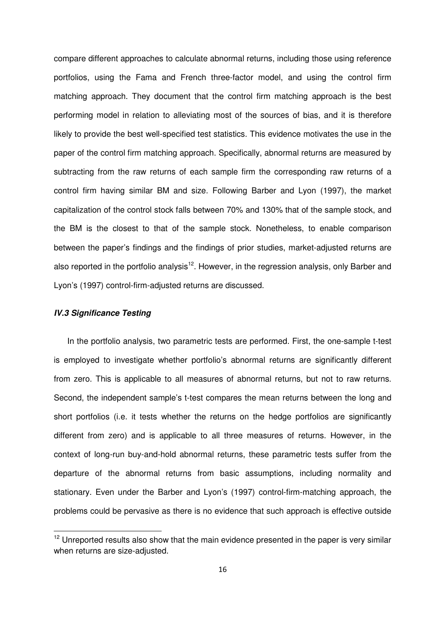compare different approaches to calculate abnormal returns, including those using reference portfolios, using the Fama and French three-factor model, and using the control firm matching approach. They document that the control firm matching approach is the best performing model in relation to alleviating most of the sources of bias, and it is therefore likely to provide the best well-specified test statistics. This evidence motivates the use in the paper of the control firm matching approach. Specifically, abnormal returns are measured by subtracting from the raw returns of each sample firm the corresponding raw returns of a control firm having similar BM and size. Following Barber and Lyon (1997), the market capitalization of the control stock falls between 70% and 130% that of the sample stock, and the BM is the closest to that of the sample stock. Nonetheless, to enable comparison between the paper's findings and the findings of prior studies, market-adjusted returns are also reported in the portfolio analysis<sup>12</sup>. However, in the regression analysis, only Barber and Lyon's (1997) control-firm-adjusted returns are discussed.

#### **IV.3 Significance Testing**

 $\overline{\phantom{0}}$ 

 In the portfolio analysis, two parametric tests are performed. First, the one-sample t-test is employed to investigate whether portfolio's abnormal returns are significantly different from zero. This is applicable to all measures of abnormal returns, but not to raw returns. Second, the independent sample's t-test compares the mean returns between the long and short portfolios (i.e. it tests whether the returns on the hedge portfolios are significantly different from zero) and is applicable to all three measures of returns. However, in the context of long-run buy-and-hold abnormal returns, these parametric tests suffer from the departure of the abnormal returns from basic assumptions, including normality and stationary. Even under the Barber and Lyon's (1997) control-firm-matching approach, the problems could be pervasive as there is no evidence that such approach is effective outside

 $12$  Unreported results also show that the main evidence presented in the paper is very similar when returns are size-adjusted.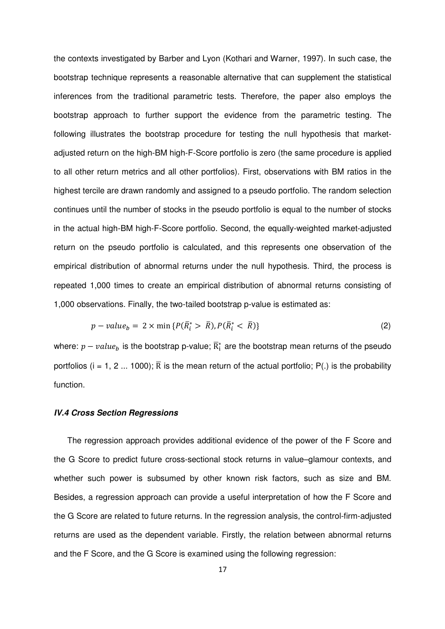the contexts investigated by Barber and Lyon (Kothari and Warner, 1997). In such case, the bootstrap technique represents a reasonable alternative that can supplement the statistical inferences from the traditional parametric tests. Therefore, the paper also employs the bootstrap approach to further support the evidence from the parametric testing. The following illustrates the bootstrap procedure for testing the null hypothesis that market- adjusted return on the high-BM high-F-Score portfolio is zero (the same procedure is applied to all other return metrics and all other portfolios). First, observations with BM ratios in the highest tercile are drawn randomly and assigned to a pseudo portfolio. The random selection continues until the number of stocks in the pseudo portfolio is equal to the number of stocks in the actual high-BM high-F-Score portfolio. Second, the equally-weighted market-adjusted return on the pseudo portfolio is calculated, and this represents one observation of the empirical distribution of abnormal returns under the null hypothesis. Third, the process is repeated 1,000 times to create an empirical distribution of abnormal returns consisting of 1,000 observations. Finally, the two-tailed bootstrap p-value is estimated as:

$$
p-value_b = 2 \times \min \{ P(\overline{R}_i^* > \overline{R}), P(\overline{R}_i^* < \overline{R}) \} \tag{2}
$$

where:  $p-value_b$  is the bootstrap p-value;  $\overline{\mathrm{R}}^*_\mathrm{i}$  are the bootstrap mean returns of the pseudo portfolios (i = 1, 2 ... 1000);  $\overline{R}$  is the mean return of the actual portfolio; P(.) is the probability function.

#### **IV.4 Cross Section Regressions**

 The regression approach provides additional evidence of the power of the F Score and the G Score to predict future cross-sectional stock returns in value–glamour contexts, and whether such power is subsumed by other known risk factors, such as size and BM. Besides, a regression approach can provide a useful interpretation of how the F Score and the G Score are related to future returns. In the regression analysis, the control-firm-adjusted returns are used as the dependent variable. Firstly, the relation between abnormal returns and the F Score, and the G Score is examined using the following regression: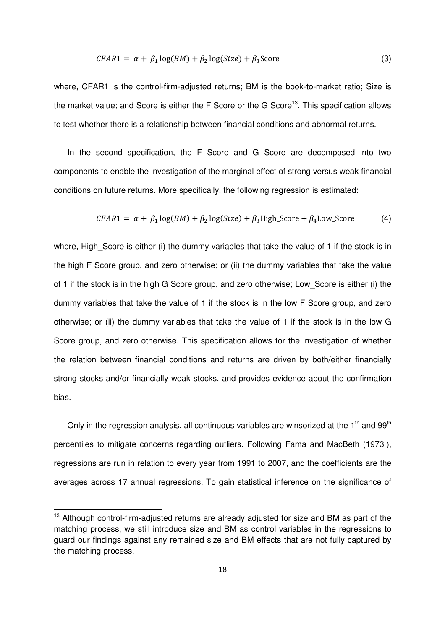$$
CFAR1 = \alpha + \beta_1 \log(BM) + \beta_2 \log(Size) + \beta_3 \text{Score}
$$
\n(3)

 where, CFAR1 is the control-firm-adjusted returns; BM is the book-to-market ratio; Size is the market value; and Score is either the F Score or the G Score<sup>13</sup>. This specification allows to test whether there is a relationship between financial conditions and abnormal returns.

 In the second specification, the F Score and G Score are decomposed into two components to enable the investigation of the marginal effect of strong versus weak financial conditions on future returns. More specifically, the following regression is estimated:

$$
CFAR1 = \alpha + \beta_1 \log(BM) + \beta_2 \log(Size) + \beta_3 \text{High\_Score} + \beta_4 \text{Low\_Score} \tag{4}
$$

 where, High\_Score is either (i) the dummy variables that take the value of 1 if the stock is in the high F Score group, and zero otherwise; or (ii) the dummy variables that take the value of 1 if the stock is in the high G Score group, and zero otherwise; Low\_Score is either (i) the dummy variables that take the value of 1 if the stock is in the low F Score group, and zero otherwise; or (ii) the dummy variables that take the value of 1 if the stock is in the low G Score group, and zero otherwise. This specification allows for the investigation of whether the relation between financial conditions and returns are driven by both/either financially strong stocks and/or financially weak stocks, and provides evidence about the confirmation bias.

Only in the regression analysis, all continuous variables are winsorized at the 1<sup>th</sup> and 99<sup>th</sup> percentiles to mitigate concerns regarding outliers. Following Fama and MacBeth (1973 ), regressions are run in relation to every year from 1991 to 2007, and the coefficients are the averages across 17 annual regressions. To gain statistical inference on the significance of

l

 $13$  Although control-firm-adjusted returns are already adjusted for size and BM as part of the matching process, we still introduce size and BM as control variables in the regressions to guard our findings against any remained size and BM effects that are not fully captured by the matching process.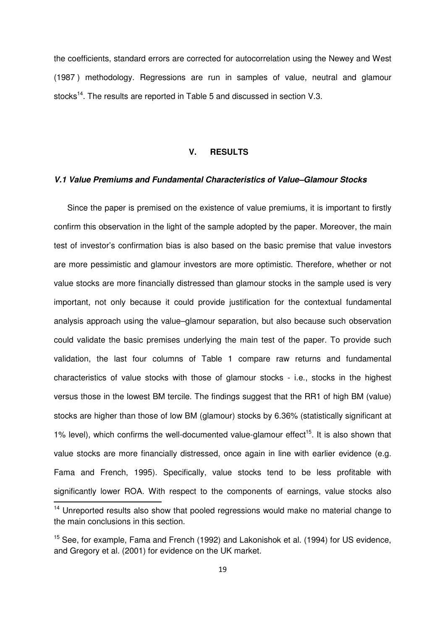the coefficients, standard errors are corrected for autocorrelation using the Newey and West (1987 ) methodology. Regressions are run in samples of value, neutral and glamour stocks<sup>14</sup>. The results are reported in Table 5 and discussed in section V.3.

# **V. RESULTS**

#### **V.1 Value Premiums and Fundamental Characteristics of Value–Glamour Stocks**

 Since the paper is premised on the existence of value premiums, it is important to firstly confirm this observation in the light of the sample adopted by the paper. Moreover, the main test of investor's confirmation bias is also based on the basic premise that value investors are more pessimistic and glamour investors are more optimistic. Therefore, whether or not value stocks are more financially distressed than glamour stocks in the sample used is very important, not only because it could provide justification for the contextual fundamental analysis approach using the value–glamour separation, but also because such observation could validate the basic premises underlying the main test of the paper. To provide such validation, the last four columns of Table 1 compare raw returns and fundamental characteristics of value stocks with those of glamour stocks - i.e., stocks in the highest versus those in the lowest BM tercile. The findings suggest that the RR1 of high BM (value) stocks are higher than those of low BM (glamour) stocks by 6.36% (statistically significant at 1% level), which confirms the well-documented value-glamour effect<sup>15</sup>. It is also shown that value stocks are more financially distressed, once again in line with earlier evidence (e.g. Fama and French, 1995). Specifically, value stocks tend to be less profitable with significantly lower ROA. With respect to the components of earnings, value stocks also -

<sup>&</sup>lt;sup>14</sup> Unreported results also show that pooled regressions would make no material change to the main conclusions in this section.

<sup>&</sup>lt;sup>15</sup> See, for example, Fama and French (1992) and Lakonishok et al. (1994) for US evidence, and Gregory et al. (2001) for evidence on the UK market.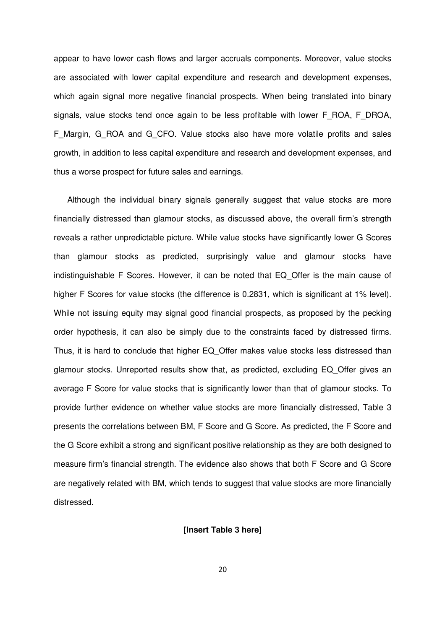appear to have lower cash flows and larger accruals components. Moreover, value stocks are associated with lower capital expenditure and research and development expenses, which again signal more negative financial prospects. When being translated into binary signals, value stocks tend once again to be less profitable with lower F\_ROA, F\_DROA, F\_Margin, G\_ROA and G\_CFO. Value stocks also have more volatile profits and sales growth, in addition to less capital expenditure and research and development expenses, and thus a worse prospect for future sales and earnings.

 Although the individual binary signals generally suggest that value stocks are more financially distressed than glamour stocks, as discussed above, the overall firm's strength reveals a rather unpredictable picture. While value stocks have significantly lower G Scores than glamour stocks as predicted, surprisingly value and glamour stocks have indistinguishable F Scores. However, it can be noted that EQ\_Offer is the main cause of higher F Scores for value stocks (the difference is 0.2831, which is significant at 1% level). While not issuing equity may signal good financial prospects, as proposed by the pecking order hypothesis, it can also be simply due to the constraints faced by distressed firms. Thus, it is hard to conclude that higher EQ\_Offer makes value stocks less distressed than glamour stocks. Unreported results show that, as predicted, excluding EQ\_Offer gives an average F Score for value stocks that is significantly lower than that of glamour stocks. To provide further evidence on whether value stocks are more financially distressed, Table 3 presents the correlations between BM, F Score and G Score. As predicted, the F Score and the G Score exhibit a strong and significant positive relationship as they are both designed to measure firm's financial strength. The evidence also shows that both F Score and G Score are negatively related with BM, which tends to suggest that value stocks are more financially distressed.

#### **[Insert Table 3 here]**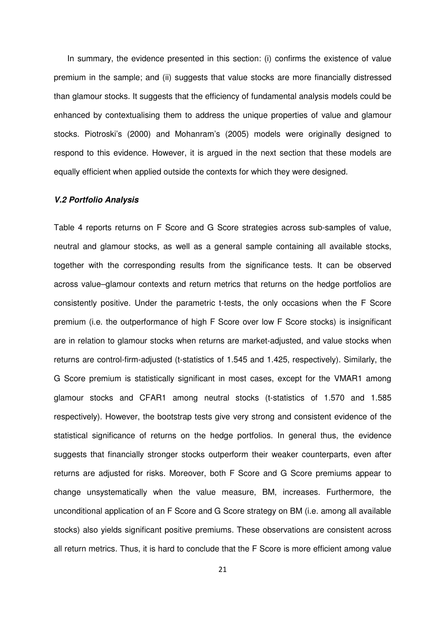In summary, the evidence presented in this section: (i) confirms the existence of value premium in the sample; and (ii) suggests that value stocks are more financially distressed than glamour stocks. It suggests that the efficiency of fundamental analysis models could be enhanced by contextualising them to address the unique properties of value and glamour stocks. Piotroski's (2000) and Mohanram's (2005) models were originally designed to respond to this evidence. However, it is argued in the next section that these models are equally efficient when applied outside the contexts for which they were designed.

#### **V.2 Portfolio Analysis**

 Table 4 reports returns on F Score and G Score strategies across sub-samples of value, neutral and glamour stocks, as well as a general sample containing all available stocks, together with the corresponding results from the significance tests. It can be observed across value–glamour contexts and return metrics that returns on the hedge portfolios are consistently positive. Under the parametric t-tests, the only occasions when the F Score premium (i.e. the outperformance of high F Score over low F Score stocks) is insignificant are in relation to glamour stocks when returns are market-adjusted, and value stocks when returns are control-firm-adjusted (t-statistics of 1.545 and 1.425, respectively). Similarly, the G Score premium is statistically significant in most cases, except for the VMAR1 among glamour stocks and CFAR1 among neutral stocks (t-statistics of 1.570 and 1.585 respectively). However, the bootstrap tests give very strong and consistent evidence of the statistical significance of returns on the hedge portfolios. In general thus, the evidence suggests that financially stronger stocks outperform their weaker counterparts, even after returns are adjusted for risks. Moreover, both F Score and G Score premiums appear to change unsystematically when the value measure, BM, increases. Furthermore, the unconditional application of an F Score and G Score strategy on BM (i.e. among all available stocks) also yields significant positive premiums. These observations are consistent across all return metrics. Thus, it is hard to conclude that the F Score is more efficient among value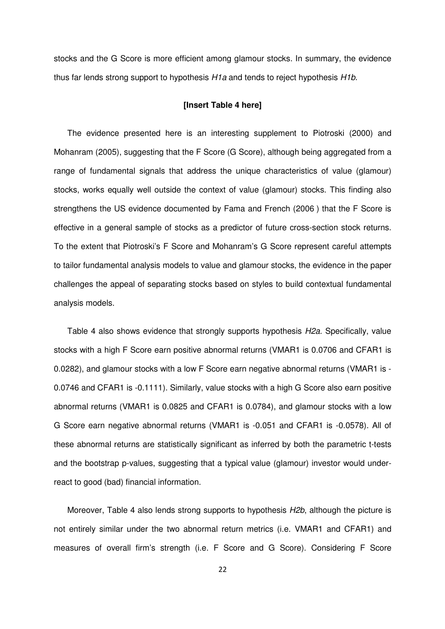stocks and the G Score is more efficient among glamour stocks. In summary, the evidence thus far lends strong support to hypothesis H1a and tends to reject hypothesis H1b.

#### **[Insert Table 4 here]**

 The evidence presented here is an interesting supplement to Piotroski (2000) and Mohanram (2005), suggesting that the F Score (G Score), although being aggregated from a range of fundamental signals that address the unique characteristics of value (glamour) stocks, works equally well outside the context of value (glamour) stocks. This finding also strengthens the US evidence documented by Fama and French (2006 ) that the F Score is effective in a general sample of stocks as a predictor of future cross-section stock returns. To the extent that Piotroski's F Score and Mohanram's G Score represent careful attempts to tailor fundamental analysis models to value and glamour stocks, the evidence in the paper challenges the appeal of separating stocks based on styles to build contextual fundamental analysis models.

Table 4 also shows evidence that strongly supports hypothesis H2a. Specifically, value stocks with a high F Score earn positive abnormal returns (VMAR1 is 0.0706 and CFAR1 is 0.0282), and glamour stocks with a low F Score earn negative abnormal returns (VMAR1 is 0.0746 and CFAR1 is -0.1111). Similarly, value stocks with a high G Score also earn positive abnormal returns (VMAR1 is 0.0825 and CFAR1 is 0.0784), and glamour stocks with a low G Score earn negative abnormal returns (VMAR1 is -0.051 and CFAR1 is -0.0578). All of these abnormal returns are statistically significant as inferred by both the parametric t-tests and the bootstrap p-values, suggesting that a typical value (glamour) investor would under-react to good (bad) financial information.

Moreover, Table 4 also lends strong supports to hypothesis H2b, although the picture is not entirely similar under the two abnormal return metrics (i.e. VMAR1 and CFAR1) and measures of overall firm's strength (i.e. F Score and G Score). Considering F Score

22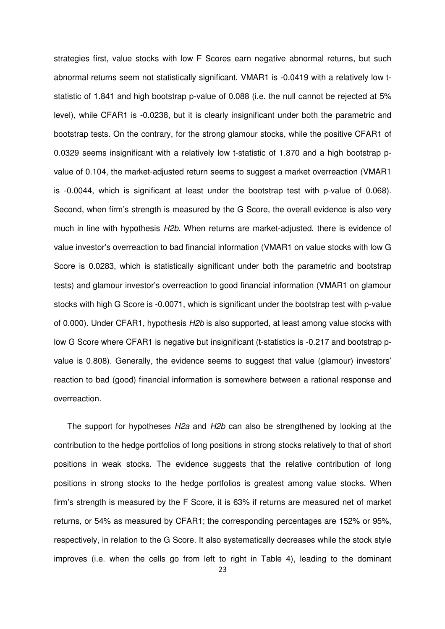strategies first, value stocks with low F Scores earn negative abnormal returns, but such abnormal returns seem not statistically significant. VMAR1 is -0.0419 with a relatively low t- statistic of 1.841 and high bootstrap p-value of 0.088 (i.e. the null cannot be rejected at 5% level), while CFAR1 is -0.0238, but it is clearly insignificant under both the parametric and bootstrap tests. On the contrary, for the strong glamour stocks, while the positive CFAR1 of 0.0329 seems insignificant with a relatively low t-statistic of 1.870 and a high bootstrap p- value of 0.104, the market-adjusted return seems to suggest a market overreaction (VMAR1 is -0.0044, which is significant at least under the bootstrap test with p-value of 0.068). Second, when firm's strength is measured by the G Score, the overall evidence is also very much in line with hypothesis H2b. When returns are market-adjusted, there is evidence of value investor's overreaction to bad financial information (VMAR1 on value stocks with low G Score is 0.0283, which is statistically significant under both the parametric and bootstrap tests) and glamour investor's overreaction to good financial information (VMAR1 on glamour stocks with high G Score is -0.0071, which is significant under the bootstrap test with p-value of 0.000). Under CFAR1, hypothesis H2b is also supported, at least among value stocks with low G Score where CFAR1 is negative but insignificant (t-statistics is -0.217 and bootstrap p- value is 0.808). Generally, the evidence seems to suggest that value (glamour) investors' reaction to bad (good) financial information is somewhere between a rational response and overreaction.

The support for hypotheses H2a and H2b can also be strengthened by looking at the contribution to the hedge portfolios of long positions in strong stocks relatively to that of short positions in weak stocks. The evidence suggests that the relative contribution of long positions in strong stocks to the hedge portfolios is greatest among value stocks. When firm's strength is measured by the F Score, it is 63% if returns are measured net of market returns, or 54% as measured by CFAR1; the corresponding percentages are 152% or 95%, respectively, in relation to the G Score. It also systematically decreases while the stock style improves (i.e. when the cells go from left to right in Table 4), leading to the dominant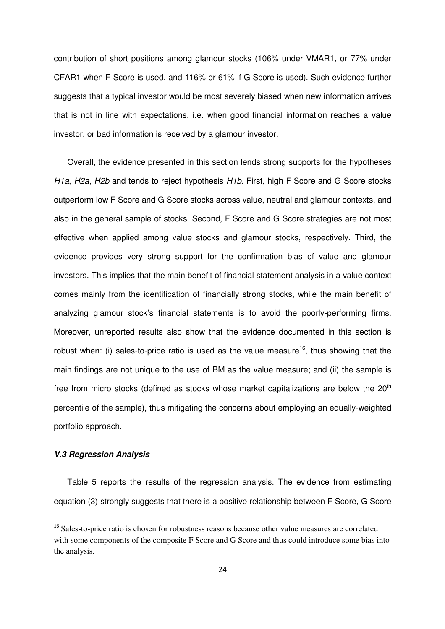contribution of short positions among glamour stocks (106% under VMAR1, or 77% under CFAR1 when F Score is used, and 116% or 61% if G Score is used). Such evidence further suggests that a typical investor would be most severely biased when new information arrives that is not in line with expectations, i.e. when good financial information reaches a value investor, or bad information is received by a glamour investor.

 Overall, the evidence presented in this section lends strong supports for the hypotheses H1a, H2a, H2b and tends to reject hypothesis H1b. First, high F Score and G Score stocks outperform low F Score and G Score stocks across value, neutral and glamour contexts, and also in the general sample of stocks. Second, F Score and G Score strategies are not most effective when applied among value stocks and glamour stocks, respectively. Third, the evidence provides very strong support for the confirmation bias of value and glamour investors. This implies that the main benefit of financial statement analysis in a value context comes mainly from the identification of financially strong stocks, while the main benefit of analyzing glamour stock's financial statements is to avoid the poorly-performing firms. Moreover, unreported results also show that the evidence documented in this section is robust when: (i) sales-to-price ratio is used as the value measure<sup>16</sup>, thus showing that the main findings are not unique to the use of BM as the value measure; and (ii) the sample is free from micro stocks (defined as stocks whose market capitalizations are below the 20<sup>th</sup> percentile of the sample), thus mitigating the concerns about employing an equally-weighted portfolio approach.

#### **V.3 Regression Analysis**

 $\overline{\phantom{0}}$ 

 Table 5 reports the results of the regression analysis. The evidence from estimating equation (3) strongly suggests that there is a positive relationship between F Score, G Score

<sup>&</sup>lt;sup>16</sup> Sales-to-price ratio is chosen for robustness reasons because other value measures are correlated with some components of the composite F Score and G Score and thus could introduce some bias into the analysis.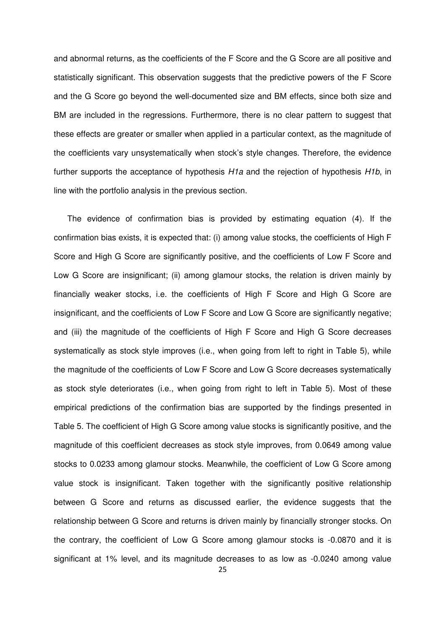and abnormal returns, as the coefficients of the F Score and the G Score are all positive and statistically significant. This observation suggests that the predictive powers of the F Score and the G Score go beyond the well-documented size and BM effects, since both size and BM are included in the regressions. Furthermore, there is no clear pattern to suggest that these effects are greater or smaller when applied in a particular context, as the magnitude of the coefficients vary unsystematically when stock's style changes. Therefore, the evidence further supports the acceptance of hypothesis H1a and the rejection of hypothesis H1b, in line with the portfolio analysis in the previous section.

 The evidence of confirmation bias is provided by estimating equation (4). If the confirmation bias exists, it is expected that: (i) among value stocks, the coefficients of High F Score and High G Score are significantly positive, and the coefficients of Low F Score and Low G Score are insignificant; (ii) among glamour stocks, the relation is driven mainly by financially weaker stocks, i.e. the coefficients of High F Score and High G Score are insignificant, and the coefficients of Low F Score and Low G Score are significantly negative; and (iii) the magnitude of the coefficients of High F Score and High G Score decreases systematically as stock style improves (i.e., when going from left to right in Table 5), while the magnitude of the coefficients of Low F Score and Low G Score decreases systematically as stock style deteriorates (i.e., when going from right to left in Table 5). Most of these empirical predictions of the confirmation bias are supported by the findings presented in Table 5. The coefficient of High G Score among value stocks is significantly positive, and the magnitude of this coefficient decreases as stock style improves, from 0.0649 among value stocks to 0.0233 among glamour stocks. Meanwhile, the coefficient of Low G Score among value stock is insignificant. Taken together with the significantly positive relationship between G Score and returns as discussed earlier, the evidence suggests that the relationship between G Score and returns is driven mainly by financially stronger stocks. On the contrary, the coefficient of Low G Score among glamour stocks is -0.0870 and it is significant at 1% level, and its magnitude decreases to as low as -0.0240 among value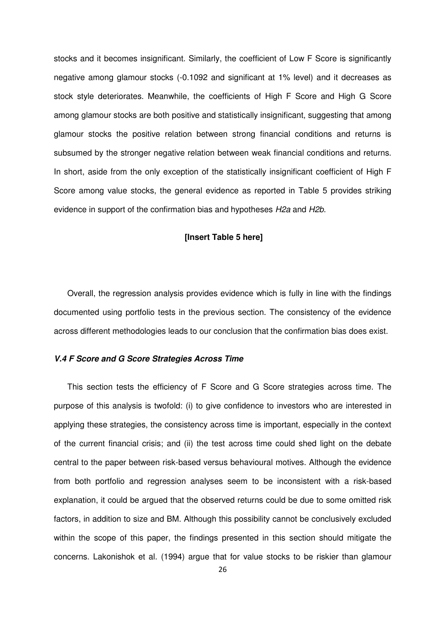stocks and it becomes insignificant. Similarly, the coefficient of Low F Score is significantly negative among glamour stocks (-0.1092 and significant at 1% level) and it decreases as stock style deteriorates. Meanwhile, the coefficients of High F Score and High G Score among glamour stocks are both positive and statistically insignificant, suggesting that among glamour stocks the positive relation between strong financial conditions and returns is subsumed by the stronger negative relation between weak financial conditions and returns. In short, aside from the only exception of the statistically insignificant coefficient of High F Score among value stocks, the general evidence as reported in Table 5 provides striking evidence in support of the confirmation bias and hypotheses H2a and H2b.

#### **[Insert Table 5 here]**

 Overall, the regression analysis provides evidence which is fully in line with the findings documented using portfolio tests in the previous section. The consistency of the evidence across different methodologies leads to our conclusion that the confirmation bias does exist.

#### **V.4 F Score and G Score Strategies Across Time**

 This section tests the efficiency of F Score and G Score strategies across time. The purpose of this analysis is twofold: (i) to give confidence to investors who are interested in applying these strategies, the consistency across time is important, especially in the context of the current financial crisis; and (ii) the test across time could shed light on the debate central to the paper between risk-based versus behavioural motives. Although the evidence from both portfolio and regression analyses seem to be inconsistent with a risk-based explanation, it could be argued that the observed returns could be due to some omitted risk factors, in addition to size and BM. Although this possibility cannot be conclusively excluded within the scope of this paper, the findings presented in this section should mitigate the concerns. Lakonishok et al. (1994) argue that for value stocks to be riskier than glamour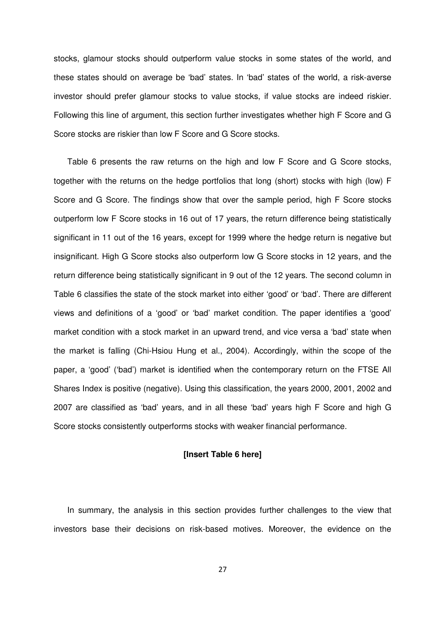stocks, glamour stocks should outperform value stocks in some states of the world, and these states should on average be 'bad' states. In 'bad' states of the world, a risk-averse investor should prefer glamour stocks to value stocks, if value stocks are indeed riskier. Following this line of argument, this section further investigates whether high F Score and G Score stocks are riskier than low F Score and G Score stocks.

 Table 6 presents the raw returns on the high and low F Score and G Score stocks, together with the returns on the hedge portfolios that long (short) stocks with high (low) F Score and G Score. The findings show that over the sample period, high F Score stocks outperform low F Score stocks in 16 out of 17 years, the return difference being statistically significant in 11 out of the 16 years, except for 1999 where the hedge return is negative but insignificant. High G Score stocks also outperform low G Score stocks in 12 years, and the return difference being statistically significant in 9 out of the 12 years. The second column in Table 6 classifies the state of the stock market into either 'good' or 'bad'. There are different views and definitions of a 'good' or 'bad' market condition. The paper identifies a 'good' market condition with a stock market in an upward trend, and vice versa a 'bad' state when the market is falling (Chi-Hsiou Hung et al., 2004). Accordingly, within the scope of the paper, a 'good' ('bad') market is identified when the contemporary return on the FTSE All Shares Index is positive (negative). Using this classification, the years 2000, 2001, 2002 and 2007 are classified as 'bad' years, and in all these 'bad' years high F Score and high G Score stocks consistently outperforms stocks with weaker financial performance.

#### **[Insert Table 6 here]**

 In summary, the analysis in this section provides further challenges to the view that investors base their decisions on risk-based motives. Moreover, the evidence on the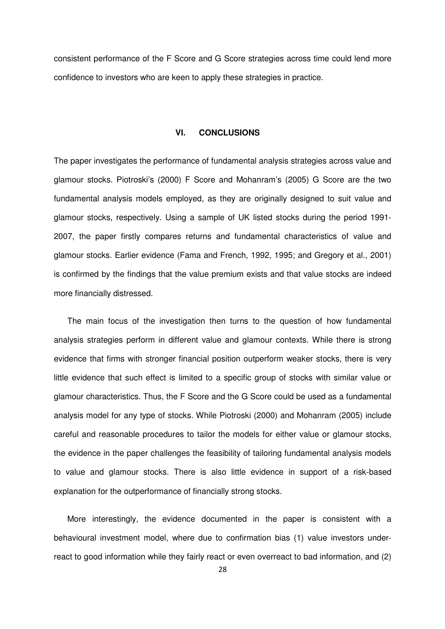consistent performance of the F Score and G Score strategies across time could lend more confidence to investors who are keen to apply these strategies in practice.

# **VI. CONCLUSIONS**

 The paper investigates the performance of fundamental analysis strategies across value and glamour stocks. Piotroski's (2000) F Score and Mohanram's (2005) G Score are the two fundamental analysis models employed, as they are originally designed to suit value and glamour stocks, respectively. Using a sample of UK listed stocks during the period 1991 2007, the paper firstly compares returns and fundamental characteristics of value and glamour stocks. Earlier evidence (Fama and French, 1992, 1995; and Gregory et al., 2001) is confirmed by the findings that the value premium exists and that value stocks are indeed more financially distressed.

 The main focus of the investigation then turns to the question of how fundamental analysis strategies perform in different value and glamour contexts. While there is strong evidence that firms with stronger financial position outperform weaker stocks, there is very little evidence that such effect is limited to a specific group of stocks with similar value or glamour characteristics. Thus, the F Score and the G Score could be used as a fundamental analysis model for any type of stocks. While Piotroski (2000) and Mohanram (2005) include careful and reasonable procedures to tailor the models for either value or glamour stocks, the evidence in the paper challenges the feasibility of tailoring fundamental analysis models to value and glamour stocks. There is also little evidence in support of a risk-based explanation for the outperformance of financially strong stocks.

 More interestingly, the evidence documented in the paper is consistent with a behavioural investment model, where due to confirmation bias (1) value investors under-react to good information while they fairly react or even overreact to bad information, and (2)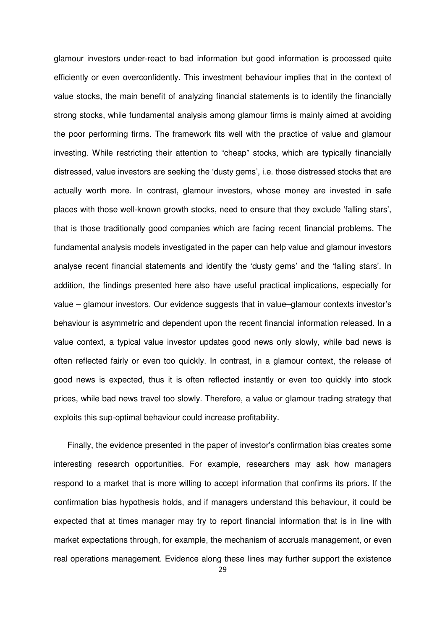glamour investors under-react to bad information but good information is processed quite efficiently or even overconfidently. This investment behaviour implies that in the context of value stocks, the main benefit of analyzing financial statements is to identify the financially strong stocks, while fundamental analysis among glamour firms is mainly aimed at avoiding the poor performing firms. The framework fits well with the practice of value and glamour investing. While restricting their attention to "cheap" stocks, which are typically financially distressed, value investors are seeking the 'dusty gems', i.e. those distressed stocks that are actually worth more. In contrast, glamour investors, whose money are invested in safe places with those well-known growth stocks, need to ensure that they exclude 'falling stars', that is those traditionally good companies which are facing recent financial problems. The fundamental analysis models investigated in the paper can help value and glamour investors analyse recent financial statements and identify the 'dusty gems' and the 'falling stars'. In addition, the findings presented here also have useful practical implications, especially for value – glamour investors. Our evidence suggests that in value–glamour contexts investor's behaviour is asymmetric and dependent upon the recent financial information released. In a value context, a typical value investor updates good news only slowly, while bad news is often reflected fairly or even too quickly. In contrast, in a glamour context, the release of good news is expected, thus it is often reflected instantly or even too quickly into stock prices, while bad news travel too slowly. Therefore, a value or glamour trading strategy that exploits this sup-optimal behaviour could increase profitability.

 Finally, the evidence presented in the paper of investor's confirmation bias creates some interesting research opportunities. For example, researchers may ask how managers respond to a market that is more willing to accept information that confirms its priors. If the confirmation bias hypothesis holds, and if managers understand this behaviour, it could be expected that at times manager may try to report financial information that is in line with market expectations through, for example, the mechanism of accruals management, or even real operations management. Evidence along these lines may further support the existence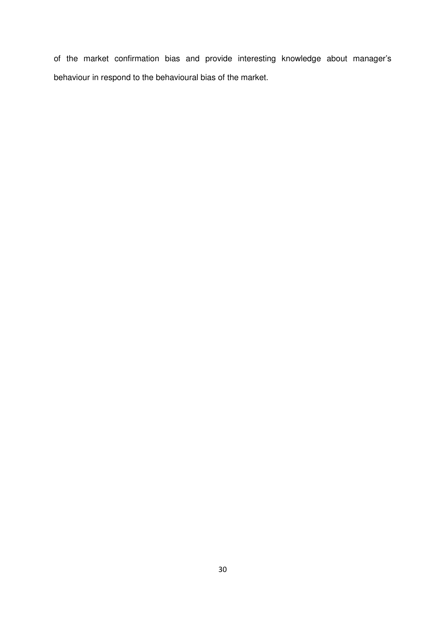of the market confirmation bias and provide interesting knowledge about manager's behaviour in respond to the behavioural bias of the market.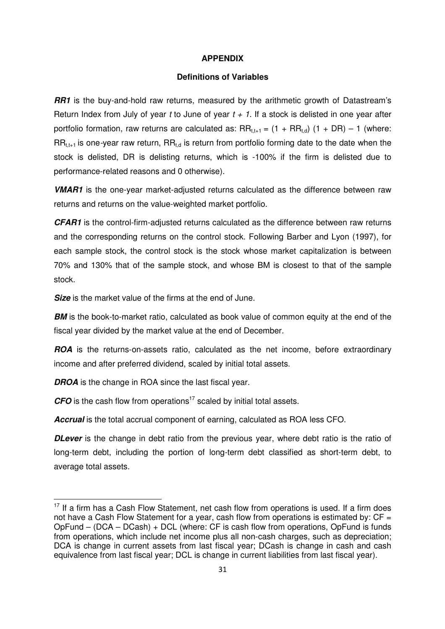# **APPENDIX**

# **Definitions of Variables**

**RR1** is the buy-and-hold raw returns, measured by the arithmetic growth of Datastream's Return Index from July of year t to June of year  $t + 1$ . If a stock is delisted in one year after portfolio formation, raw returns are calculated as:  $RR_{t,t+1} = (1 + RR_{t,d}) (1 + DR) - 1$  (where:  $RR_{t,t+1}$  is one-year raw return,  $RR_{t,d}$  is return from portfolio forming date to the date when the stock is delisted, DR is delisting returns, which is -100% if the firm is delisted due to performance-related reasons and 0 otherwise).

**VMAR1** is the one-year market-adjusted returns calculated as the difference between raw returns and returns on the value-weighted market portfolio.

**CFAR1** is the control-firm-adjusted returns calculated as the difference between raw returns and the corresponding returns on the control stock. Following Barber and Lyon (1997), for each sample stock, the control stock is the stock whose market capitalization is between 70% and 130% that of the sample stock, and whose BM is closest to that of the sample stock.

**Size** is the market value of the firms at the end of June.

**BM** is the book-to-market ratio, calculated as book value of common equity at the end of the fiscal year divided by the market value at the end of December.

**ROA** is the returns-on-assets ratio, calculated as the net income, before extraordinary income and after preferred dividend, scaled by initial total assets.

**DROA** is the change in ROA since the last fiscal year.

 $\overline{a}$ 

**CFO** is the cash flow from operations<sup>17</sup> scaled by initial total assets.

**Accrual** is the total accrual component of earning, calculated as ROA less CFO.

**DLever** is the change in debt ratio from the previous year, where debt ratio is the ratio of long-term debt, including the portion of long-term debt classified as short-term debt, to average total assets.

 $17$  If a firm has a Cash Flow Statement, net cash flow from operations is used. If a firm does not have a Cash Flow Statement for a year, cash flow from operations is estimated by:  $CF =$ OpFund – (DCA – DCash) + DCL (where: CF is cash flow from operations, OpFund is funds from operations, which include net income plus all non-cash charges, such as depreciation; DCA is change in current assets from last fiscal year; DCash is change in cash and cash equivalence from last fiscal year; DCL is change in current liabilities from last fiscal year).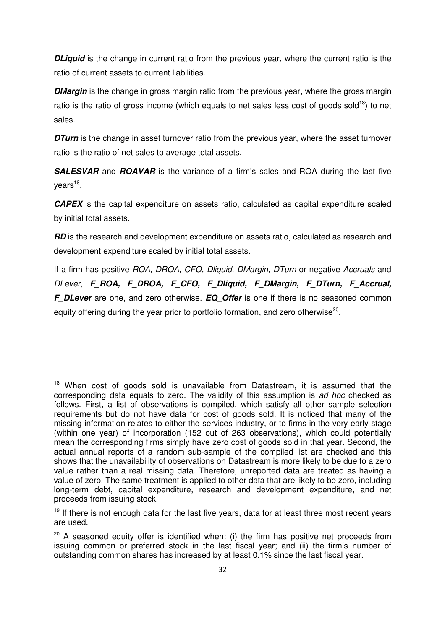**DLiquid** is the change in current ratio from the previous year, where the current ratio is the ratio of current assets to current liabilities.

**DMargin** is the change in gross margin ratio from the previous year, where the gross margin ratio is the ratio of gross income (which equals to net sales less cost of goods sold<sup>18</sup>) to net sales.

**DTurn** is the change in asset turnover ratio from the previous year, where the asset turnover ratio is the ratio of net sales to average total assets.

**SALESVAR** and **ROAVAR** is the variance of a firm's sales and ROA during the last five years<sup>19</sup>.

**CAPEX** is the capital expenditure on assets ratio, calculated as capital expenditure scaled by initial total assets.

**RD** is the research and development expenditure on assets ratio, calculated as research and development expenditure scaled by initial total assets.

If a firm has positive ROA, DROA, CFO, Dliquid, DMargin, DTurn or negative Accruals and DLever, **F\_ROA, F\_DROA, F\_CFO, F\_Dliquid, F\_DMargin, F\_DTurn, F\_Accrual, F** DLever are one, and zero otherwise. **EQ Offer** is one if there is no seasoned common equity offering during the year prior to portfolio formation, and zero otherwise<sup>20</sup>.

 $\overline{\phantom{0}}$ 

<sup>&</sup>lt;sup>18</sup> When cost of goods sold is unavailable from Datastream, it is assumed that the corresponding data equals to zero. The validity of this assumption is ad hoc checked as follows. First, a list of observations is compiled, which satisfy all other sample selection requirements but do not have data for cost of goods sold. It is noticed that many of the missing information relates to either the services industry, or to firms in the very early stage (within one year) of incorporation (152 out of 263 observations), which could potentially mean the corresponding firms simply have zero cost of goods sold in that year. Second, the actual annual reports of a random sub-sample of the compiled list are checked and this shows that the unavailability of observations on Datastream is more likely to be due to a zero value rather than a real missing data. Therefore, unreported data are treated as having a value of zero. The same treatment is applied to other data that are likely to be zero, including long-term debt, capital expenditure, research and development expenditure, and net proceeds from issuing stock.

 $19$  If there is not enough data for the last five years, data for at least three most recent years are used.

 $20$  A seasoned equity offer is identified when: (i) the firm has positive net proceeds from issuing common or preferred stock in the last fiscal year; and (ii) the firm's number of outstanding common shares has increased by at least 0.1% since the last fiscal year.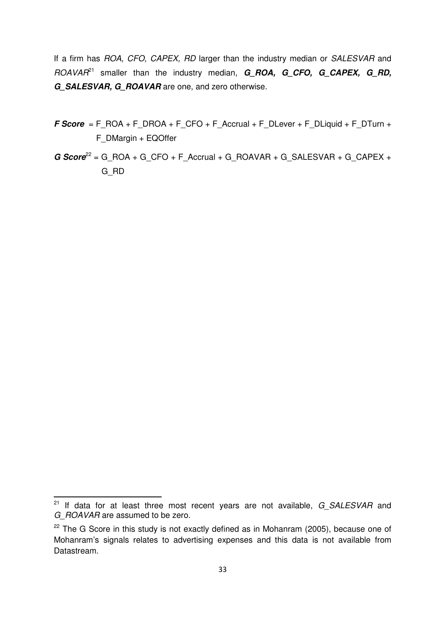If a firm has ROA, CFO, CAPEX, RD larger than the industry median or SALESVAR and ROAVAR<sup>21</sup> smaller than the industry median, **G\_ROA, G\_CFO, G\_CAPEX, G\_RD, G\_SALESVAR, G\_ROAVAR** are one, and zero otherwise.

- **F Score** = F\_ROA + F\_DROA + F\_CFO + F\_Accrual + F\_DLever + F\_DLiquid + F\_DTurn + F\_DMargin + EQOffer
- **G Score**<sup>22</sup> = G\_ROA + G\_CFO + F\_Accrual + G\_ROAVAR + G\_SALESVAR + G\_CAPEX + G\_RD

 $\overline{a}$ 

 $^{21}$  If data for at least three most recent years are not available,  $G\_SALESVAR$  and G ROAVAR are assumed to be zero.

 $22$  The G Score in this study is not exactly defined as in Mohanram (2005), because one of Mohanram's signals relates to advertising expenses and this data is not available from Datastream.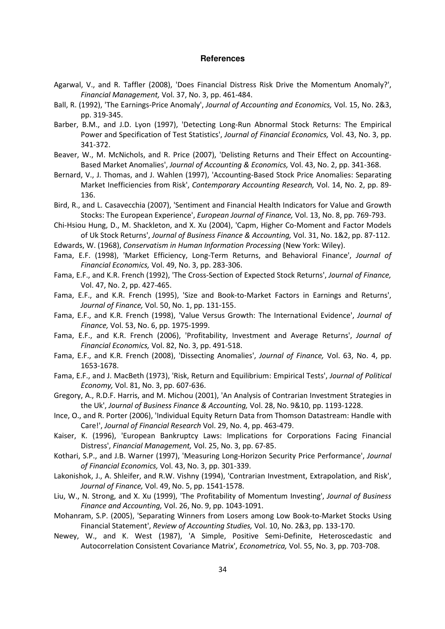#### **References**

- Agarwal, V., and R. Taffler (2008), 'Does Financial Distress Risk Drive the Momentum Anomaly?', *Financial Management,* Vol. 37, No. 3, pp. 461-484.
- Ball, R. (1992), 'The Earnings-Price Anomaly', *Journal of Accounting and Economics,* Vol. 15, No. 2&3, pp. 319-345.
- Barber, B.M., and J.D. Lyon (1997), 'Detecting Long-Run Abnormal Stock Returns: The Empirical Power and Specification of Test Statistics', *Journal of Financial Economics,* Vol. 43, No. 3, pp. 341-372.
- Beaver, W., M. McNichols, and R. Price (2007), 'Delisting Returns and Their Effect on Accounting-Based Market Anomalies', *Journal of Accounting & Economics,* Vol. 43, No. 2, pp. 341-368.
- Bernard, V., J. Thomas, and J. Wahlen (1997), 'Accounting-Based Stock Price Anomalies: Separating Market Inefficiencies from Risk', *Contemporary Accounting Research,* Vol. 14, No. 2, pp. 89- 136.
- Bird, R., and L. Casavecchia (2007), 'Sentiment and Financial Health Indicators for Value and Growth Stocks: The European Experience', *European Journal of Finance,* Vol. 13, No. 8, pp. 769-793.
- Chi-Hsiou Hung, D., M. Shackleton, and X. Xu (2004), 'Capm, Higher Co-Moment and Factor Models of Uk Stock Returns', *Journal of Business Finance & Accounting,* Vol. 31, No. 1&2, pp. 87-112.
- Edwards, W. (1968), *Conservatism in Human Information Processing* (New York: Wiley).
- Fama, E.F. (1998), 'Market Efficiency, Long-Term Returns, and Behavioral Finance', *Journal of Financial Economics,* Vol. 49, No. 3, pp. 283-306.
- Fama, E.F., and K.R. French (1992), 'The Cross-Section of Expected Stock Returns', *Journal of Finance,* Vol. 47, No. 2, pp. 427-465.
- Fama, E.F., and K.R. French (1995), 'Size and Book-to-Market Factors in Earnings and Returns', *Journal of Finance,* Vol. 50, No. 1, pp. 131-155.
- Fama, E.F., and K.R. French (1998), 'Value Versus Growth: The International Evidence', *Journal of Finance,* Vol. 53, No. 6, pp. 1975-1999.
- Fama, E.F., and K.R. French (2006), 'Profitability, Investment and Average Returns', *Journal of Financial Economics,* Vol. 82, No. 3, pp. 491-518.
- Fama, E.F., and K.R. French (2008), 'Dissecting Anomalies', *Journal of Finance,* Vol. 63, No. 4, pp. 1653-1678.
- Fama, E.F., and J. MacBeth (1973), 'Risk, Return and Equilibrium: Empirical Tests', *Journal of Political Economy,* Vol. 81, No. 3, pp. 607-636.
- Gregory, A., R.D.F. Harris, and M. Michou (2001), 'An Analysis of Contrarian Investment Strategies in the Uk', *Journal of Business Finance & Accounting,* Vol. 28, No. 9&10, pp. 1193-1228.
- Ince, O., and R. Porter (2006), 'Individual Equity Return Data from Thomson Datastream: Handle with Care!', *Journal of Financial Research* Vol. 29, No. 4, pp. 463-479.
- Kaiser, K. (1996), 'European Bankruptcy Laws: Implications for Corporations Facing Financial Distress', *Financial Management,* Vol. 25, No. 3, pp. 67-85.
- Kothari, S.P., and J.B. Warner (1997), 'Measuring Long-Horizon Security Price Performance', *Journal of Financial Economics,* Vol. 43, No. 3, pp. 301-339.
- Lakonishok, J., A. Shleifer, and R.W. Vishny (1994), 'Contrarian Investment, Extrapolation, and Risk', *Journal of Finance,* Vol. 49, No. 5, pp. 1541-1578.
- Liu, W., N. Strong, and X. Xu (1999), 'The Profitability of Momentum Investing', *Journal of Business Finance and Accounting,* Vol. 26, No. 9, pp. 1043-1091.
- Mohanram, S.P. (2005), 'Separating Winners from Losers among Low Book-to-Market Stocks Using Financial Statement', *Review of Accounting Studies,* Vol. 10, No. 2&3, pp. 133-170.
- Newey, W., and K. West (1987), 'A Simple, Positive Semi-Definite, Heteroscedastic and Autocorrelation Consistent Covariance Matrix', *Econometrica,* Vol. 55, No. 3, pp. 703-708.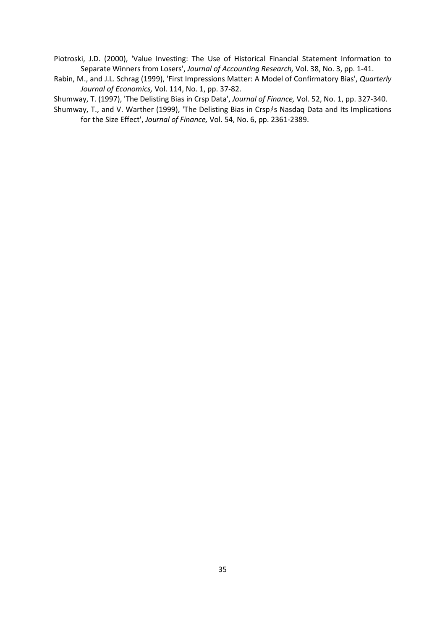Piotroski, J.D. (2000), 'Value Investing: The Use of Historical Financial Statement Information to Separate Winners from Losers', *Journal of Accounting Research,* Vol. 38, No. 3, pp. 1-41.

Rabin, M., and J.L. Schrag (1999), 'First Impressions Matter: A Model of Confirmatory Bias', *Quarterly Journal of Economics,* Vol. 114, No. 1, pp. 37-82.

Shumway, T. (1997), 'The Delisting Bias in Crsp Data', *Journal of Finance,* Vol. 52, No. 1, pp. 327-340.

Shumway, T., and V. Warther (1999), 'The Delisting Bias in Crsp<sup>}</sup>s Nasdaq Data and Its Implications for the Size Effect', *Journal of Finance,* Vol. 54, No. 6, pp. 2361-2389.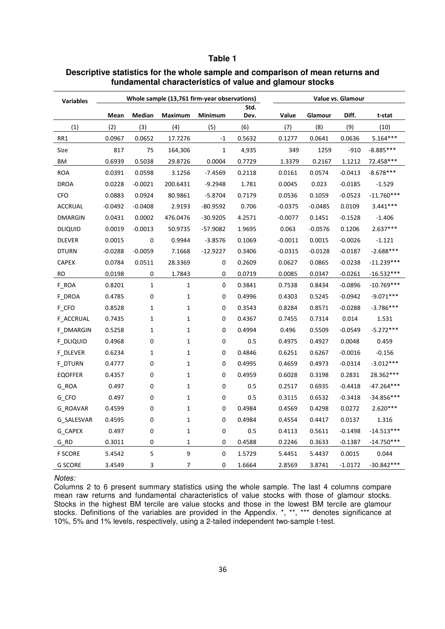# **Table 1**

| <b>Variables</b> | Whole sample (13,761 firm-year observations) |              |              |              |              | Value vs. Glamour |           |           |              |  |  |
|------------------|----------------------------------------------|--------------|--------------|--------------|--------------|-------------------|-----------|-----------|--------------|--|--|
|                  | Mean                                         | Median       | Maximum      | Minimum      | Std.<br>Dev. | Value             | Glamour   | Diff.     | t-stat       |  |  |
| (1)              | (2)                                          | (3)          | (4)          | (5)          | (6)          | (7)               | (8)       | (9)       | (10)         |  |  |
| RR1              | 0.0967                                       | 0.0652       | 17.7276      | $-1$         | 0.5632       | 0.1277            | 0.0641    | 0.0636    | $5.164***$   |  |  |
| Size             | 817                                          | 75           | 164,306      | $\mathbf{1}$ | 4,935        | 349               | 1259      | $-910$    | $-8.885***$  |  |  |
| ΒM               | 0.6939                                       | 0.5038       | 29.8726      | 0.0004       | 0.7729       | 1.3379            | 0.2167    | 1.1212    | 72.458***    |  |  |
| <b>ROA</b>       | 0.0391                                       | 0.0598       | 3.1256       | $-7.4569$    | 0.2118       | 0.0161            | 0.0574    | $-0.0413$ | $-8.678***$  |  |  |
| <b>DROA</b>      | 0.0228                                       | $-0.0021$    | 200.6431     | $-9.2948$    | 1.781        | 0.0045            | 0.023     | $-0.0185$ | $-1.529$     |  |  |
| <b>CFO</b>       | 0.0883                                       | 0.0924       | 80.9861      | $-5.8704$    | 0.7179       | 0.0536            | 0.1059    | $-0.0523$ | $-11.760***$ |  |  |
| <b>ACCRUAL</b>   | $-0.0492$                                    | $-0.0408$    | 2.9193       | $-80.9592$   | 0.706        | $-0.0375$         | $-0.0485$ | 0.0109    | 3.441***     |  |  |
| <b>DMARGIN</b>   | 0.0431                                       | 0.0002       | 476.0476     | $-30.9205$   | 4.2571       | $-0.0077$         | 0.1451    | $-0.1528$ | $-1.406$     |  |  |
| <b>DLIQUID</b>   | 0.0019                                       | $-0.0013$    | 50.9735      | $-57.9082$   | 1.9695       | 0.063             | $-0.0576$ | 0.1206    | $2.637***$   |  |  |
| <b>DLEVER</b>    | 0.0015                                       | 0            | 0.9944       | $-3.8576$    | 0.1069       | $-0.0011$         | 0.0015    | $-0.0026$ | $-1.121$     |  |  |
| <b>DTURN</b>     | $-0.0288$                                    | $-0.0059$    | 7.1668       | $-12.9227$   | 0.3406       | $-0.0315$         | $-0.0128$ | $-0.0187$ | $-2.688***$  |  |  |
| <b>CAPEX</b>     | 0.0784                                       | 0.0511       | 28.3369      | 0            | 0.2609       | 0.0627            | 0.0865    | $-0.0238$ | $-11.239***$ |  |  |
| <b>RD</b>        | 0.0198                                       | 0            | 1.7843       | 0            | 0.0719       | 0.0085            | 0.0347    | $-0.0261$ | -16.532***   |  |  |
| F_ROA            | 0.8201                                       | $\mathbf{1}$ | $\mathbf{1}$ | 0            | 0.3841       | 0.7538            | 0.8434    | $-0.0896$ | $-10.769***$ |  |  |
| F DROA           | 0.4785                                       | 0            | $\mathbf{1}$ | 0            | 0.4996       | 0.4303            | 0.5245    | $-0.0942$ | $-9.071***$  |  |  |
| F_CFO            | 0.8528                                       | $\mathbf{1}$ | $\mathbf{1}$ | 0            | 0.3543       | 0.8284            | 0.8571    | $-0.0288$ | $-3.786***$  |  |  |
| <b>F ACCRUAL</b> | 0.7435                                       | $\mathbf{1}$ | $\mathbf{1}$ | 0            | 0.4367       | 0.7455            | 0.7314    | 0.014     | 1.531        |  |  |
| F_DMARGIN        | 0.5258                                       | $\mathbf{1}$ | $\mathbf{1}$ | 0            | 0.4994       | 0.496             | 0.5509    | $-0.0549$ | $-5.272***$  |  |  |
| F DLIQUID        | 0.4968                                       | 0            | $\mathbf{1}$ | 0            | 0.5          | 0.4975            | 0.4927    | 0.0048    | 0.459        |  |  |
| <b>F DLEVER</b>  | 0.6234                                       | $\mathbf{1}$ | 1            | 0            | 0.4846       | 0.6251            | 0.6267    | $-0.0016$ | $-0.156$     |  |  |
| F_DTURN          | 0.4777                                       | 0            | $\mathbf{1}$ | 0            | 0.4995       | 0.4659            | 0.4973    | $-0.0314$ | $-3.012***$  |  |  |
| <b>EQOFFER</b>   | 0.4357                                       | 0            | $\mathbf{1}$ | 0            | 0.4959       | 0.6028            | 0.3198    | 0.2831    | 28.362***    |  |  |
| G_ROA            | 0.497                                        | 0            | $\mathbf{1}$ | $\pmb{0}$    | 0.5          | 0.2517            | 0.6935    | $-0.4418$ | $-47.264***$ |  |  |
| G CFO            | 0.497                                        | 0            | $\mathbf{1}$ | 0            | 0.5          | 0.3115            | 0.6532    | $-0.3418$ | $-34.856***$ |  |  |
| G ROAVAR         | 0.4599                                       | 0            | $\mathbf{1}$ | 0            | 0.4984       | 0.4569            | 0.4298    | 0.0272    | $2.620***$   |  |  |
| G SALESVAR       | 0.4595                                       | 0            | $\mathbf{1}$ | 0            | 0.4984       | 0.4554            | 0.4417    | 0.0137    | 1.316        |  |  |
| G_CAPEX          | 0.497                                        | 0            | $\mathbf{1}$ | 0            | 0.5          | 0.4113            | 0.5611    | $-0.1498$ | $-14.513***$ |  |  |
| $G_RD$           | 0.3011                                       | 0            | $\mathbf{1}$ | 0            | 0.4588       | 0.2246            | 0.3633    | $-0.1387$ | $-14.750***$ |  |  |
| <b>F SCORE</b>   | 5.4542                                       | 5            | 9            | 0            | 1.5729       | 5.4451            | 5.4437    | 0.0015    | 0.044        |  |  |
| <b>G SCORE</b>   | 3.4549                                       | 3            | 7            | 0            | 1.6664       | 2.8569            | 3.8741    | $-1.0172$ | $-30.842***$ |  |  |

# **Descriptive statistics for the whole sample and comparison of mean returns and fundamental characteristics of value and glamour stocks**

#### Notes:

Columns 2 to 6 present summary statistics using the whole sample. The last 4 columns compare mean raw returns and fundamental characteristics of value stocks with those of glamour stocks. Stocks in the highest BM tercile are value stocks and those in the lowest BM tercile are glamour stocks. Definitions of the variables are provided in the Appendix. \*, \*\*, \*\*\* denotes significance at 10%, 5% and 1% levels, respectively, using a 2-tailed independent two-sample t-test.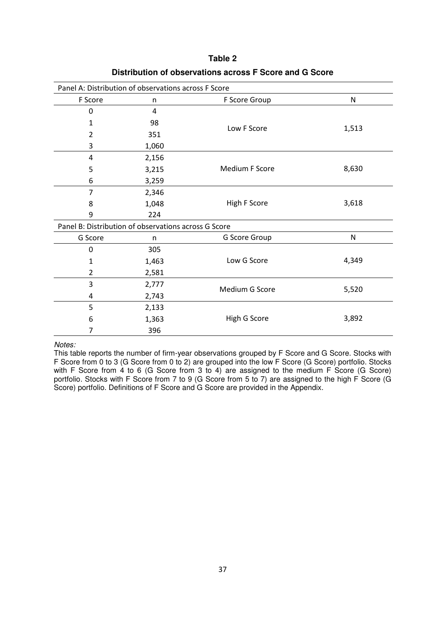| Panel A: Distribution of observations across F Score |       |                |       |  |  |  |  |  |  |
|------------------------------------------------------|-------|----------------|-------|--|--|--|--|--|--|
| F Score                                              | n     | F Score Group  | N     |  |  |  |  |  |  |
| $\mathbf 0$                                          | 4     |                |       |  |  |  |  |  |  |
| 1                                                    | 98    | Low F Score    | 1,513 |  |  |  |  |  |  |
| 2                                                    | 351   |                |       |  |  |  |  |  |  |
| 3                                                    | 1,060 |                |       |  |  |  |  |  |  |
| 4                                                    | 2,156 |                |       |  |  |  |  |  |  |
| 5                                                    | 3,215 | Medium F Score | 8,630 |  |  |  |  |  |  |
| 6                                                    | 3,259 |                |       |  |  |  |  |  |  |
| 7                                                    | 2,346 |                |       |  |  |  |  |  |  |
| 8                                                    | 1,048 | High F Score   | 3,618 |  |  |  |  |  |  |
| 9                                                    | 224   |                |       |  |  |  |  |  |  |
| Panel B: Distribution of observations across G Score |       |                |       |  |  |  |  |  |  |
| G Score                                              | n     | G Score Group  | N     |  |  |  |  |  |  |
| $\mathbf 0$                                          | 305   |                |       |  |  |  |  |  |  |
| 1                                                    | 1,463 | Low G Score    | 4,349 |  |  |  |  |  |  |
| $\overline{2}$                                       | 2,581 |                |       |  |  |  |  |  |  |
| 3                                                    | 2,777 | Medium G Score | 5,520 |  |  |  |  |  |  |
| 4                                                    | 2,743 |                |       |  |  |  |  |  |  |
| 5                                                    | 2,133 |                |       |  |  |  |  |  |  |
| 6                                                    | 1,363 | High G Score   | 3,892 |  |  |  |  |  |  |
| 7                                                    | 396   |                |       |  |  |  |  |  |  |

**Table 2 Distribution of observations across F Score and G Score** 

Notes:

This table reports the number of firm-year observations grouped by F Score and G Score. Stocks with F Score from 0 to 3 (G Score from 0 to 2) are grouped into the low F Score (G Score) portfolio. Stocks with F Score from 4 to 6 (G Score from 3 to 4) are assigned to the medium F Score (G Score) portfolio. Stocks with F Score from 7 to 9 (G Score from 5 to 7) are assigned to the high F Score (G Score) portfolio. Definitions of F Score and G Score are provided in the Appendix.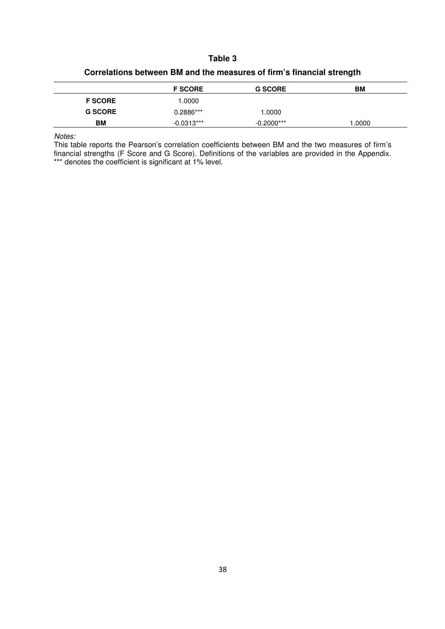# **Table 3**

|                |                |                | ີ  |  |
|----------------|----------------|----------------|----|--|
|                | <b>F SCORE</b> | <b>G SCORE</b> | BM |  |
| <b>F SCORE</b> | 1.0000         |                |    |  |
| <b>G SCORE</b> | 0.2886***      | .0000          |    |  |

**BM**  $-0.0313***$   $-0.2000***$   $1.0000$ 

# **Correlations between BM and the measures of firm's financial strength**

Notes:

This table reports the Pearson's correlation coefficients between BM and the two measures of firm's financial strengths (F Score and G Score). Definitions of the variables are provided in the Appendix. \*\*\* denotes the coefficient is significant at 1% level.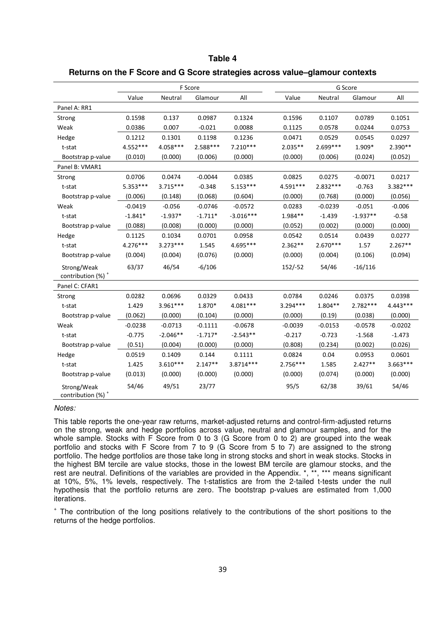# **Table 4**

# **Returns on the F Score and G Score strategies across value–glamour contexts**

|                                              |            |            | F Score   |             |            |            | G Score    |            |
|----------------------------------------------|------------|------------|-----------|-------------|------------|------------|------------|------------|
|                                              | Value      | Neutral    | Glamour   | All         | Value      | Neutral    | Glamour    | All        |
| Panel A: RR1                                 |            |            |           |             |            |            |            |            |
| Strong                                       | 0.1598     | 0.137      | 0.0987    | 0.1324      | 0.1596     | 0.1107     | 0.0789     | 0.1051     |
| Weak                                         | 0.0386     | 0.007      | $-0.021$  | 0.0088      | 0.1125     | 0.0578     | 0.0244     | 0.0753     |
| Hedge                                        | 0.1212     | 0.1301     | 0.1198    | 0.1236      | 0.0471     | 0.0529     | 0.0545     | 0.0297     |
| t-stat                                       | 4.552***   | 4.058***   | 2.588***  | $7.210***$  | $2.035**$  | 2.699***   | 1.909*     | $2.390**$  |
| Bootstrap p-value                            | (0.010)    | (0.000)    | (0.006)   | (0.000)     | (0.000)    | (0.006)    | (0.024)    | (0.052)    |
| Panel B: VMAR1                               |            |            |           |             |            |            |            |            |
| Strong                                       | 0.0706     | 0.0474     | $-0.0044$ | 0.0385      | 0.0825     | 0.0275     | $-0.0071$  | 0.0217     |
| t-stat                                       | 5.353***   | $3.715***$ | $-0.348$  | $5.153***$  | 4.591 ***  | 2.832 ***  | $-0.763$   | 3.382***   |
| Bootstrap p-value                            | (0.006)    | (0.148)    | (0.068)   | (0.604)     | (0.000)    | (0.768)    | (0.000)    | (0.056)    |
| Weak                                         | $-0.0419$  | $-0.056$   | $-0.0746$ | $-0.0572$   | 0.0283     | $-0.0239$  | $-0.051$   | $-0.006$   |
| t-stat                                       | $-1.841*$  | $-1.937*$  | $-1.711*$ | $-3.016***$ | 1.984**    | $-1.439$   | $-1.937**$ | $-0.58$    |
| Bootstrap p-value                            | (0.088)    | (0.008)    | (0.000)   | (0.000)     | (0.052)    | (0.002)    | (0.000)    | (0.000)    |
| Hedge                                        | 0.1125     | 0.1034     | 0.0701    | 0.0958      | 0.0542     | 0.0514     | 0.0439     | 0.0277     |
| t-stat                                       | $4.276***$ | $3.273***$ | 1.545     | 4.695***    | $2.362**$  | $2.670***$ | 1.57       | $2.267**$  |
| Bootstrap p-value                            | (0.004)    | (0.004)    | (0.076)   | (0.000)     | (0.000)    | (0.004)    | (0.106)    | (0.094)    |
| Strong/Weak<br>contribution (%) <sup>+</sup> | 63/37      | 46/54      | $-6/106$  |             | $152/-52$  | 54/46      | $-16/116$  |            |
| Panel C: CFAR1                               |            |            |           |             |            |            |            |            |
| Strong                                       | 0.0282     | 0.0696     | 0.0329    | 0.0433      | 0.0784     | 0.0246     | 0.0375     | 0.0398     |
| t-stat                                       | 1.429      | 3.961***   | 1.870*    | 4.081***    | $3.294***$ | $1.804**$  | 2.782***   | 4.443***   |
| Bootstrap p-value                            | (0.062)    | (0.000)    | (0.104)   | (0.000)     | (0.000)    | (0.19)     | (0.038)    | (0.000)    |
| Weak                                         | $-0.0238$  | $-0.0713$  | $-0.1111$ | $-0.0678$   | $-0.0039$  | $-0.0153$  | $-0.0578$  | $-0.0202$  |
| t-stat                                       | $-0.775$   | $-2.046**$ | $-1.717*$ | $-2.543**$  | $-0.217$   | $-0.723$   | $-1.568$   | $-1.473$   |
| Bootstrap p-value                            | (0.51)     | (0.004)    | (0.000)   | (0.000)     | (0.808)    | (0.234)    | (0.002)    | (0.026)    |
| Hedge                                        | 0.0519     | 0.1409     | 0.144     | 0.1111      | 0.0824     | 0.04       | 0.0953     | 0.0601     |
| t-stat                                       | 1.425      | $3.610***$ | $2.147**$ | 3.8714***   | $2.756***$ | 1.585      | $2.427**$  | $3.663***$ |
| Bootstrap p-value                            | (0.013)    | (0.000)    | (0.000)   | (0.000)     | (0.000)    | (0.074)    | (0.000)    | (0.000)    |
| Strong/Weak<br>contribution (%) <sup>+</sup> | 54/46      | 49/51      | 23/77     |             | 95/5       | 62/38      | 39/61      | 54/46      |

#### Notes:

This table reports the one-year raw returns, market-adjusted returns and control-firm-adjusted returns on the strong, weak and hedge portfolios across value, neutral and glamour samples, and for the whole sample. Stocks with F Score from 0 to 3 (G Score from 0 to 2) are grouped into the weak portfolio and stocks with F Score from 7 to 9 (G Score from 5 to 7) are assigned to the strong portfolio. The hedge portfolios are those take long in strong stocks and short in weak stocks. Stocks in the highest BM tercile are value stocks, those in the lowest BM tercile are glamour stocks, and the rest are neutral. Definitions of the variables are provided in the Appendix. \*, \*\*, \*\*\* means significant at 10%, 5%, 1% levels, respectively. The t-statistics are from the 2-tailed t-tests under the null hypothesis that the portfolio returns are zero. The bootstrap p-values are estimated from 1,000 iterations.

+ The contribution of the long positions relatively to the contributions of the short positions to the returns of the hedge portfolios.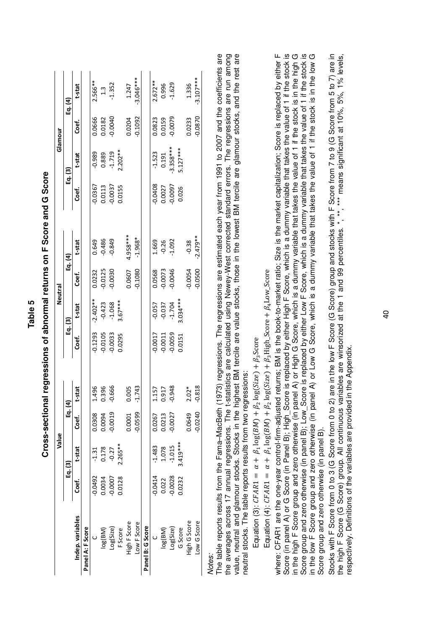|                  |           | Value      |         |               |           |                      | Neutral   |             |           |                     | Glamour   |             |
|------------------|-----------|------------|---------|---------------|-----------|----------------------|-----------|-------------|-----------|---------------------|-----------|-------------|
|                  |           | Eg. (3)    | Eq. (4) |               |           | Eq. (3)              |           | $Eq.$ $(4)$ |           | Eg. (3)             |           | Eq. $(4)$   |
| Indep. variables | မ်း<br>၁  | t-stat     | င်<br>၁ | t-stat        | Ceť.      | t-stat               | င်္င      | t-stat      | Coef.     | t-stat              | ن<br>S    | t-stat      |
| Panel A: F Score |           |            |         |               |           |                      |           |             |           |                     |           |             |
|                  | -0.0492   | $-1.31$    | 0.0308  | 1.496         | $-0.1293$ | $-2.402**$           | 0.0232    | 0.649       | 0.0367    | $-0.989$            | 0.0666    | $2.566***$  |
| log(BM)          | 0.0034    | 0.178      | 0.0094  | 0.396         | $-0.0105$ |                      | $-0.0125$ | $-0.486$    | 0.0113    | 0.889               | 0.0182    | $1.3\,$     |
| Log(Size)        | $-0.0007$ | $-0.27$    | 0.0019  | $-0.666$      | $-0.0033$ | $-0.423$<br>$-1.068$ | 0.0030    | $-0.849$    | $-0.0037$ | $-1.719$<br>2.202** | $-0.0040$ | $-1.352$    |
| <b>F</b> Score   | 0.0128    | $2.265**$  |         |               | 0.0295    | $3.67***$            |           |             | 0.0155    |                     |           |             |
| High F Score     |           |            | 0.0001  | 0.005         |           |                      | 0.0607    | 4.958***    |           |                     | 0.0204    | 1.247       |
| Low F Score      |           |            | 0.0599  | $-1.743$      |           |                      | 0.1080    | $-1.968*$   |           |                     | 0.1092    | $-3.046***$ |
| Panel B: G Score |           |            |         |               |           |                      |           |             |           |                     |           |             |
|                  | $-0.0414$ | $-1.483$   | 0.0267  | L57           | $-0.0017$ | $-0.057$             | 0.0568    | 1.669       | 0.0408    | $-1.523$            | 0.0823    | $2.672**$   |
| log(BM)          | 0.022     | 1.078      | 0.0213  | 0.917         | $-0.0011$ | $-0.037$<br>$-1.704$ | $-0.0073$ | $-0.26$     | 0.0027    | 0.191               | 0.0159    | 0.996       |
| Log(Size)        | $-0.0028$ | $-1.015$   | 0.0027  | $-0.948$      | $-0.0059$ |                      | $-0.0046$ | $-1.092$    | $-0.0097$ | $-3.358***$         | $-0.0079$ | $-1.629$    |
| G Score          | 0.232     | $3.419***$ |         |               | 0.0151    | $3.034***$           |           |             | 0.026     | $5.127***$          |           |             |
| High G Score     |           |            | 0.0649  | $\tilde{c}^*$ |           |                      | $-0.0054$ | $-0.38$     |           |                     | 0.0233    | 1.336       |
| Low G Score      |           |            | 0.0240  | $-0.818$      |           |                      | $-0.0500$ | $-2.479**$  |           |                     | 0.0870    | $-3.107***$ |

**Cross-sectional regressions of abnormal returns on F Score and G Score**  Cross-sectional regressions of abnormal returns on F Score and G Score

**Table 5** 

The table reports results from the Fama–MacBeth (1973) regressions. The regressions are estimated each year from 1991 to 2007 and the coefficients are the averages across 17 annual regressions. The t-statistics are calculated using Newey-West corrected standard errors. The regressions are run among value, neutral and glamour stocks. Stocks in the highest BM tercile are value stocks, those in the lowest BM tercile are glamour stocks, and the rest are the averages across 17 annual regressions. The t-statistics are calculated using Newey-West corrected standard errors. The regressions are run among value, neutral and glamour stocks. Stocks in the highest BM tercile are value stocks, those in the lowest BM tercile are glamour stocks, and the rest are Wores:<br>The table reports results from the Fama–MacBeth (1973) regressions. The regressions are estimated each year from 1991 to 2007 and the coefficients are neutral stocks. The table reports results from two regressions: neutral stocks. The table reports results from two regressions:

Equation (3):  $CFAR1 = \alpha + \beta_1 \log(BM) + \beta_2 \log(Size) + \beta_3$ Score Equation (3):  $CFARI = \alpha + \beta_1 \log(BM) + \beta_2 \log(Size) + \beta_3$ Score

Equation (4):  $CFAR1 = \alpha + \beta_1 \log(BM) + \beta_2 \log(Size) + \beta_3$  High\_Score +  $\beta_4$  Low\_Score Equation (4):  $\mathcal{L}FAR1 = \alpha + \beta_1\log(BM) + \beta_2\log(Sizee) + \beta_3$ High\_Score +  $\beta_4$ Low\_Score

Score (in panel A) or G Score (in Panel B); High\_Score is replaced by either High F Score, which is a dummy variable that takes the value of 1 if the stock is<br>in the high F Score group and zero otherwise (in panel A) or Hi where: CFAR1 are the one-year control-firm-adjusted returns; BM is the book-to-market ratio; Size is the market capitalization; Score is replaced by either F Score (in panel A) or G Score (in Panel B); High\_Score is replaced by either High F Score, which is a dummy variable that takes the value of 1 if the stock is in the high F Score group and zero otherwise (in panel A) or High G Score, which is a dummy variable that takes the value of 1 if the stock is in the high G Score group and zero otherwise (in panel B); Low\_Score is replaced by either Low F Score, which is a dummy variable that takes the value of 1 if the stock is in the low F Score group and zero otherwise (in panel A) or Low G Score, which is a dummy variable that takes the value of 1 if the stock is in the low G where: CFAR1 are the one-year control-firm-adjusted returns; BM is the book-to-market ratio; Size is the market capitalization; Score is replaced by either F in the low F Score group and zero otherwise (in panel A) or Low G Score, which is a dummy variable that takes the value of 1 if the stock is in the low G Score group and zero otherwise (in panel B). Score group and zero otherwise (in panel B).

Stocks with F Score from 0 to 3 (G Score (G Score) group and stocks with our parameter in the low F Score (G Score) group and to 2) are in the low F Score from 5 to 7) are in the high F Score (G Score) group. All continuous variables are winsorized at the 1 and 99 percentiles. \*, \*\*, \*\*\* means significant at 10%, 5%, 1% levels, Stocks with F Score from 0 to 3 (G Score from 0 to 2) are in the low F Score (G Score) group and stocks with F Score from 7 to 9 (G Score from 5 to 7) are in the high F Score (G Score) group. All continuous variables are winsorized at the 1 and 99 percentiles. \*, \*\*, \*\*\* means significant at 10%, 5%, 1% levels, respectively. Definitions of the variables are provided in the Appendix. respectively. Definitions of the variables are provided in the Appendix.